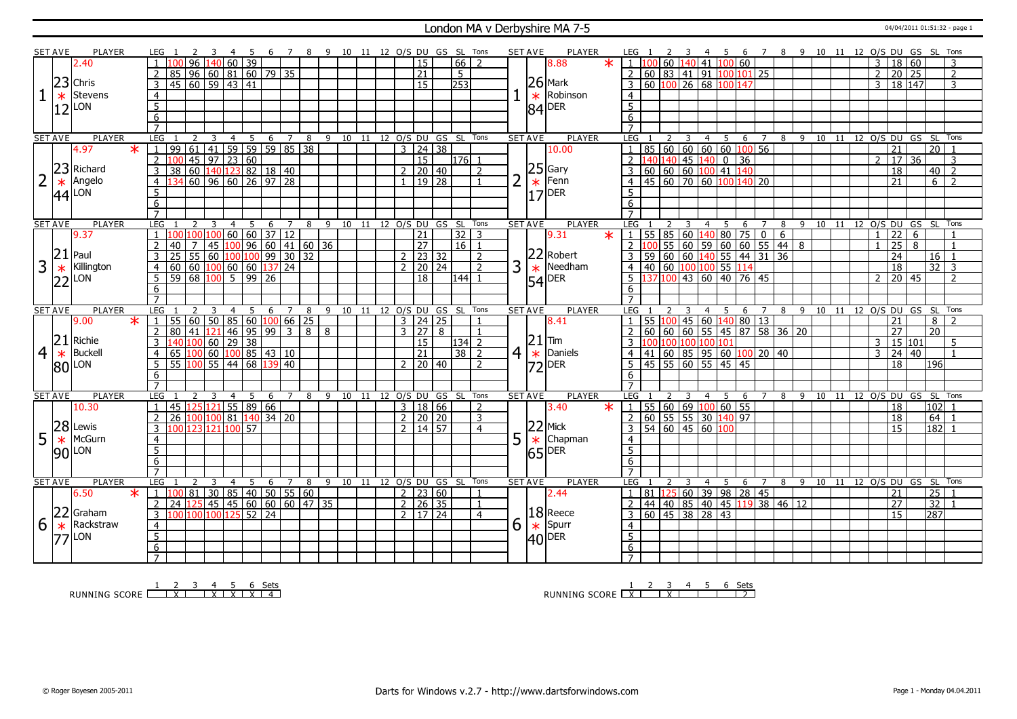#### London MA v Derbyshire MA 7-5 <sup>04/04/2011 01:51:32 - page 1</sup>

|                | <b>SET AVE</b> | <b>PLAYER</b>  | LEG 1                                                                                         |                     | - 45         | - 6                                            | 78              |                         | 9 10 11 12 O/S DU GS SL Tons   |         |  |                     |                                       |                | <b>SET AVE</b> | PLAYER                                                |         | LEG 1                                                                                                  |   |                 |     |   |      |  |                 |                |                     | 4 5 6 7 8 9 10 11 12 O/S DU GS SL Tons |                     |  |
|----------------|----------------|----------------|-----------------------------------------------------------------------------------------------|---------------------|--------------|------------------------------------------------|-----------------|-------------------------|--------------------------------|---------|--|---------------------|---------------------------------------|----------------|----------------|-------------------------------------------------------|---------|--------------------------------------------------------------------------------------------------------|---|-----------------|-----|---|------|--|-----------------|----------------|---------------------|----------------------------------------|---------------------|--|
|                |                | 2.40           | 96                                                                                            | 140 I               | $60 \mid 39$ |                                                |                 |                         |                                |         |  | 15                  | 66                                    | $\overline{2}$ |                | 8.88                                                  | $\ast$  | 60 1                                                                                                   |   | 140 41 100 60   |     |   |      |  |                 | 3              | 18 60               |                                        |                     |  |
|                |                |                | 96 60 81 60 79 35<br>85                                                                       |                     |              |                                                |                 |                         |                                |         |  | 21                  | 5                                     |                |                |                                                       |         | 60 83 41 91 $100 101 25$                                                                               |   |                 |     |   |      |  |                 | $\overline{2}$ | 20 25               |                                        | $\overline{2}$      |  |
|                |                | $23$ Chris     | 45 60 59 43 41                                                                                |                     |              |                                                |                 |                         |                                |         |  | $\overline{15}$     | $\overline{253}$                      |                |                | $26$ Mark                                             |         | 60 100 26 68 100 147<br>3                                                                              |   |                 |     |   |      |  |                 | 3              | 18 147              |                                        | 3                   |  |
| $\mathbf 1$    | $\ast$         | <b>Stevens</b> | $\overline{4}$                                                                                |                     |              |                                                |                 |                         |                                |         |  |                     |                                       |                |                | Robinson<br>$\ast$                                    |         | $\overline{4}$                                                                                         |   |                 |     |   |      |  |                 |                |                     |                                        |                     |  |
|                |                | LON            | $\overline{5}$                                                                                |                     |              |                                                |                 |                         |                                |         |  |                     |                                       |                |                | <b>DER</b>                                            |         | $\overline{5}$                                                                                         |   |                 |     |   |      |  |                 |                |                     |                                        |                     |  |
|                | 12             |                | 6                                                                                             |                     |              |                                                |                 |                         |                                |         |  |                     |                                       |                |                | 84                                                    |         | 6                                                                                                      |   |                 |     |   |      |  |                 |                |                     |                                        |                     |  |
|                |                |                | $\overline{7}$                                                                                |                     |              |                                                |                 |                         |                                |         |  |                     |                                       |                |                |                                                       |         | $\overline{7}$                                                                                         |   |                 |     |   |      |  |                 |                |                     |                                        |                     |  |
|                | <b>SET AVE</b> | <b>PLAYER</b>  | <b>LEG</b><br>2                                                                               | 4                   |              | 5<br>6                                         | $7\overline{ }$ | $\overline{\mathbf{8}}$ | 9 10 11 12 O/S DU GS SL Tons   |         |  |                     |                                       |                | <b>SET AVE</b> | <b>PLAYER</b>                                         |         | <b>LEG</b><br>2                                                                                        | 3 | 4 <sup>5</sup>  | 6 7 |   |      |  |                 |                |                     | 8 9 10 11 12 0/S DU GS SL Tons         |                     |  |
|                |                | 4.97<br>$\ast$ | 61 41 59 59 59 85 38<br>$\overline{99}$<br>$\mathbf{1}$                                       |                     |              |                                                |                 |                         |                                |         |  | $3 \mid 24 \mid 38$ |                                       |                |                | 10.00                                                 |         | 85 60 60 60 60 100 56<br>$\mathbf{1}$                                                                  |   |                 |     |   |      |  |                 |                | $\overline{21}$     |                                        | $20$   1            |  |
|                |                |                | $\frac{1}{45}$ 97 23 60<br>$\overline{2}$<br>100                                              |                     |              |                                                |                 |                         |                                |         |  | $\overline{15}$     | $\boxed{176}$ 1                       |                |                |                                                       |         | $140 140 $ 45 $140 0$ 36<br>$\overline{2}$                                                             |   |                 |     |   |      |  |                 |                | $2 \mid 17 \mid 36$ |                                        | $\overline{3}$      |  |
|                | 23             | Richard        | $\overline{3}$<br>38                                                                          |                     |              |                                                |                 |                         |                                |         |  | $2 \ 20 \ 40$       |                                       | $\overline{2}$ |                | $\begin{array}{c} 25 \\ * \end{array}$ Fenn<br>17 DER |         | 60 60 60 100 41 140<br>$\overline{3}$                                                                  |   |                 |     |   |      |  |                 |                | 18                  |                                        | $40$   2            |  |
| 2              | $\ast$         | Angelo         | $\overline{4}$                                                                                |                     |              |                                                |                 |                         |                                |         |  | $\frac{1}{9}$ 28    |                                       |                | $\overline{2}$ |                                                       |         | 45 60 70 60 100 140 20<br>$\overline{4}$                                                               |   |                 |     |   |      |  |                 |                | $\overline{21}$     |                                        | 6<br>$\overline{2}$ |  |
|                |                | LON            | $\overline{5}$                                                                                |                     |              |                                                |                 |                         |                                |         |  |                     |                                       |                |                |                                                       |         | $\overline{5}$                                                                                         |   |                 |     |   |      |  |                 |                |                     |                                        |                     |  |
|                | 44             |                | 6                                                                                             |                     |              |                                                |                 |                         |                                |         |  |                     |                                       |                |                |                                                       |         |                                                                                                        |   |                 |     |   |      |  |                 |                |                     |                                        |                     |  |
|                |                |                | $\overline{7}$                                                                                |                     |              |                                                |                 |                         |                                |         |  |                     |                                       |                |                |                                                       |         | 6                                                                                                      |   |                 |     |   |      |  |                 |                |                     |                                        |                     |  |
|                | <b>SET AVE</b> | <b>PLAYER</b>  | LEG                                                                                           | 3<br>$\overline{4}$ |              | 5                                              | $7^{\circ}$     | 8                       |                                |         |  |                     |                                       |                | <b>SET AVE</b> | <b>PLAYER</b>                                         |         | <b>LEG</b><br>$\overline{2}$                                                                           | 3 |                 |     |   |      |  |                 |                |                     | 9 10 11 12 0/S DU GS SL Tons           |                     |  |
|                |                | 9.37           | I NO<br>100                                                                                   | 100 l               |              | 6<br>60   60   37   12                         |                 |                         |                                |         |  | $\overline{21}$     | 9 10 11 12 O/S DU GS SL Tons<br> 32 3 |                |                | 9.31                                                  | $\ast$  | 1 <sup>1</sup>                                                                                         |   | 4 5             | 6 7 | 8 |      |  |                 | $\overline{1}$ | 22                  | 6                                      |                     |  |
|                |                |                | 40<br>$\overline{7}$                                                                          |                     |              |                                                |                 |                         |                                |         |  | $\overline{27}$     | 16 1                                  |                |                |                                                       |         | 55   85   60   140   80   75   0   6  <br>  100   55   60   59   60   60   55   44   8<br>$2 \mid 100$ |   |                 |     |   |      |  |                 | $\mathbf{1}$   | $\overline{25}$ 8   |                                        | $\overline{1}$      |  |
|                | $ 21 $ Paul    |                | 2                                                                                             |                     |              | 45 100 96 60 41 60 36                          |                 |                         |                                |         |  |                     |                                       |                |                | 22 Robert                                             |         |                                                                                                        |   |                 |     |   |      |  |                 |                |                     |                                        |                     |  |
|                |                |                | 3<br>25<br>55                                                                                 |                     |              | $60 \mid 100 \mid 100 \mid 99 \mid 30 \mid 32$ |                 |                         |                                |         |  | $2 \mid 23 \mid 32$ |                                       | $\overline{z}$ |                |                                                       |         | 59 60 60 140 55 44 31 36<br>3                                                                          |   |                 |     |   |      |  |                 |                | 24                  |                                        | $16$   1            |  |
| 3              | $\ast$         | Killington     | $\boxed{60}$ $\boxed{100}$ $\boxed{60}$ $\boxed{60}$ $\boxed{137}$ 24<br>60<br>$\overline{4}$ |                     |              |                                                |                 |                         |                                |         |  | $2$   20   24       |                                       | $\overline{z}$ | 3              | $\ast$<br>Needham                                     |         | 40 60 100 100 55 114<br>$\overline{4}$                                                                 |   |                 |     |   |      |  |                 |                | 18                  |                                        | $32 \mid 3$         |  |
|                |                | $22$ LON       | 68 100<br>5<br>-59 l                                                                          |                     |              | $\frac{1}{5}$ 99 26                            |                 |                         |                                |         |  | 18                  | $ 144 $ 1                             |                |                | 54<br>DER                                             |         | 137 100 43 60 40 76 45<br>5 <sup>7</sup>                                                               |   |                 |     |   |      |  |                 | $\overline{2}$ | 20 45               |                                        | $\overline{z}$      |  |
|                |                |                | 6                                                                                             |                     |              |                                                |                 |                         |                                |         |  |                     |                                       |                |                |                                                       |         | 6                                                                                                      |   |                 |     |   |      |  |                 |                |                     |                                        |                     |  |
|                |                |                |                                                                                               |                     |              |                                                |                 |                         |                                |         |  |                     |                                       |                |                |                                                       |         |                                                                                                        |   |                 |     |   |      |  |                 |                |                     |                                        |                     |  |
|                | <b>SET AVE</b> | <b>PLAYER</b>  | LEG                                                                                           | $\overline{4}$      |              | 5<br>6                                         | $\overline{7}$  | 8                       | 9 10 11 12 O/S DU GS SL Tons   |         |  |                     |                                       |                | <b>SET AVE</b> | <b>PLAYER</b>                                         |         | LEG                                                                                                    |   | 4 5             | 6 7 |   |      |  |                 |                |                     | 8 9 10 11 12 O/S DU GS SL              | Tons                |  |
|                |                | 9.00<br>$\ast$ | $\overline{1}$<br>55<br>60                                                                    |                     |              | $50$ 85 60 100 66 25                           |                 |                         |                                |         |  | $3 \mid 24 \mid 25$ |                                       |                |                | 8.41                                                  |         | 55 100 45 60 140 80 13                                                                                 |   |                 |     |   |      |  |                 |                | 21                  | 8                                      |                     |  |
|                |                |                | $\overline{2}$<br>80<br>41 I                                                                  |                     |              | $121$ 46 95 99 3 8                             |                 |                         | 8                              |         |  | 3   27   8          |                                       | $\overline{1}$ |                |                                                       |         |                                                                                                        |   |                 |     |   |      |  |                 |                | 27                  | $\overline{20}$                        |                     |  |
|                |                | $ 21 $ Richie  | 3                                                                                             |                     |              |                                                |                 |                         |                                |         |  | 15                  | 134 2                                 |                |                | 21<br> Tim                                            |         | ۱M                                                                                                     |   | 100 100 100 101 |     |   |      |  |                 | 3              | 15   101            |                                        | -5                  |  |
| $\overline{4}$ | $\ast$         | <b>Buckell</b> | $\overline{4}$                                                                                |                     |              |                                                |                 |                         |                                |         |  | 21                  | $38 \mid 2$                           |                | 4 <sup>1</sup> | $ \ast $<br>Daniels                                   |         | 41 60 85 95 60 100 20 40<br>4 I                                                                        |   |                 |     |   |      |  |                 | $\mathbf{R}$   | 24 40               |                                        |                     |  |
|                |                | $ 80 $ LON     | 5                                                                                             |                     |              |                                                |                 |                         |                                |         |  | $2 \mid 20 \mid 40$ |                                       | 2              |                | $ 72 $ <sup>DER</sup>                                 |         | $\frac{1}{45}$ 55 60 55 45 45<br>5 <sup>7</sup>                                                        |   |                 |     |   |      |  |                 |                | $\overline{18}$     | 196                                    |                     |  |
|                |                |                | 6                                                                                             |                     |              |                                                |                 |                         |                                |         |  |                     |                                       |                |                |                                                       |         | 6                                                                                                      |   |                 |     |   |      |  |                 |                |                     |                                        |                     |  |
|                |                |                | $\overline{7}$                                                                                |                     |              |                                                |                 |                         |                                |         |  |                     |                                       |                |                |                                                       |         | $\overline{7}$                                                                                         |   |                 |     |   |      |  |                 |                |                     |                                        |                     |  |
|                | <b>SET AVE</b> | <b>PLAYER</b>  | <b>LEG</b>                                                                                    | 3<br>$\overline{4}$ |              | 5<br>- 6                                       | $\overline{7}$  |                         | 8 9 10 11 12 O/S DU GS SL Tons |         |  |                     |                                       |                | <b>SET AVE</b> | <b>PLAYER</b>                                         |         | LEG                                                                                                    | 3 |                 |     |   |      |  |                 |                |                     | 4 5 6 7 8 9 10 11 12 O/S DU GS SL Tons |                     |  |
|                |                | 10.30          | 125 121 55 89 66<br>45<br>1                                                                   |                     |              |                                                |                 |                         |                                |         |  | 3   18   66         |                                       | $\overline{2}$ |                | 3.40                                                  | $\star$ | 1   55   60   69   100   60   55                                                                       |   |                 |     |   |      |  |                 |                | $\overline{18}$     |                                        | 102 1               |  |
|                |                |                | 2<br>$\overline{26}$<br>100                                                                   |                     |              | 100 81 140 34 20                               |                 |                         |                                |         |  | $2 \ 20 \ 20$       |                                       | $\overline{3}$ |                |                                                       |         | 60 55 55 30 140 97<br>2 <sub>1</sub>                                                                   |   |                 |     |   |      |  |                 |                | 18                  |                                        | 64 1                |  |
|                |                | $28$ Lewis     | 3<br>ı nn<br>123                                                                              | 121 I<br>100        | 57           |                                                |                 |                         |                                |         |  | $2 \mid 14 \mid 57$ |                                       | $\overline{4}$ |                | 22<br>Mick                                            |         | 54   60   45   60   100<br>3                                                                           |   |                 |     |   |      |  |                 |                | 15                  |                                        | l182 l1             |  |
| 5              | $\ast$         | McGurn         | $\overline{4}$                                                                                |                     |              |                                                |                 |                         |                                |         |  |                     |                                       |                | 5              | $\ast$<br>Chapman                                     |         | $\overline{4}$                                                                                         |   |                 |     |   |      |  |                 |                |                     |                                        |                     |  |
|                | $90$ LON       |                | $\overline{5}$                                                                                |                     |              |                                                |                 |                         |                                |         |  |                     |                                       |                |                | $ 65 $ <sup>DER</sup>                                 |         | $\overline{5}$                                                                                         |   |                 |     |   |      |  |                 |                |                     |                                        |                     |  |
|                |                |                | 6                                                                                             |                     |              |                                                |                 |                         |                                |         |  |                     |                                       |                |                |                                                       |         | 6                                                                                                      |   |                 |     |   |      |  |                 |                |                     |                                        |                     |  |
|                |                |                | $\overline{7}$                                                                                |                     |              |                                                |                 |                         |                                |         |  |                     |                                       |                |                |                                                       |         | $\overline{7}$                                                                                         |   |                 |     |   |      |  |                 |                |                     |                                        |                     |  |
|                | <b>SET AVE</b> | <b>PLAYER</b>  | LEG                                                                                           | $\overline{4}$<br>3 |              | -5<br>6                                        | $7^{\circ}$     | 8                       |                                | 9 10 11 |  |                     | 12 O/S DU GS SL Tons                  |                | <b>SET AVE</b> | <b>PLAYER</b>                                         |         | LEG                                                                                                    |   | 4 5             | 6 7 | 8 | 9 10 |  | 11 12 O/S DU GS |                |                     |                                        | SL Tons             |  |
|                |                | 6.50<br>$\ast$ | 81<br>100<br>$\mathbf{1}$                                                                     |                     |              | 30 85 40 50 55 60                              |                 |                         |                                |         |  | $2 \mid 23 \mid 60$ |                                       | $\overline{1}$ |                | 2.44                                                  |         | 81 125 60 39 98 28 45<br>$\mathbf{1}$                                                                  |   |                 |     |   |      |  |                 |                | 21                  |                                        | 25 1                |  |
|                |                |                | $\overline{2}$<br>24<br>125                                                                   |                     |              | 45 45 60 60 60 47 35                           |                 |                         |                                |         |  | $2 \mid 26 \mid 35$ |                                       | $\mathbf{1}$   |                |                                                       |         | 44 40 85 40 45 119 38 46 12<br>2                                                                       |   |                 |     |   |      |  |                 |                | $\overline{27}$     |                                        | 32 1                |  |
|                | 22             | Graham         | 100 100 125 52 24<br>$\overline{3}$<br>100                                                    |                     |              |                                                |                 |                         |                                |         |  | 2   17   24         |                                       | $\overline{4}$ |                | $ 18 $ Reece                                          |         | $60$ 45 38 28 43<br>3                                                                                  |   |                 |     |   |      |  |                 |                | $\overline{15}$     | 287                                    |                     |  |
| 6              | $\ast$         | Rackstraw      | $\overline{4}$                                                                                |                     |              |                                                |                 |                         |                                |         |  |                     |                                       |                | 6              | Spurr                                                 |         |                                                                                                        |   |                 |     |   |      |  |                 |                |                     |                                        |                     |  |
|                | 77             | LON            | $\overline{5}$                                                                                |                     |              |                                                |                 |                         |                                |         |  |                     |                                       |                |                | $\frac{1}{40}$ Spur                                   |         | $\frac{4}{5}$                                                                                          |   |                 |     |   |      |  |                 |                |                     |                                        |                     |  |
|                |                |                | 6                                                                                             |                     |              |                                                |                 |                         |                                |         |  |                     |                                       |                |                |                                                       |         | 6                                                                                                      |   |                 |     |   |      |  |                 |                |                     |                                        |                     |  |
|                |                |                | $\overline{7}$                                                                                |                     |              |                                                |                 |                         |                                |         |  |                     |                                       |                |                |                                                       |         | $7^{\circ}$                                                                                            |   |                 |     |   |      |  |                 |                |                     |                                        |                     |  |
|                |                |                |                                                                                               |                     |              |                                                |                 |                         |                                |         |  |                     |                                       |                |                |                                                       |         |                                                                                                        |   |                 |     |   |      |  |                 |                |                     |                                        |                     |  |

RUNNING SCORE <u>| X | X | X | X | X | 4</u><br>RUNNING SCORE <u>| X | X | X | X | X</u>

RUNNING SCORE 1 X 2 3 X 4 5 6 Sets 2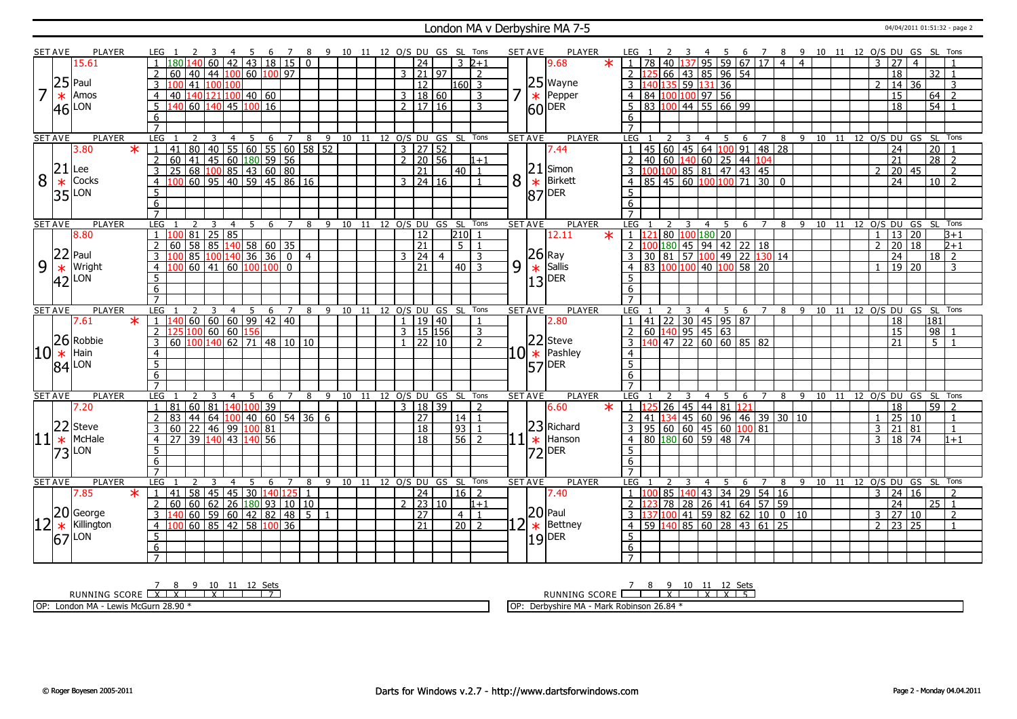#### London MA v Derbyshire MA 7-5 04/04/2011 01:51:32 - page 2

|                | <b>SET AVE</b> | <b>PLAYER</b>     |        | LEG.                |                                                                                                          |                             | -4                                                                                  | - 5 | 6             |    | $\overline{7}$ |                |    |    |    |               |                                 | 8 9 10 11 12 O/S DU GS SL Tons |                  |                |           | <b>SET AVE</b> | PLAYER                                              |         | LEG .                                                 |    |            |                                                      |                | - 5            |                 |                |                                                 | 6 7 8 9 10 11 12 O/S DU GS SL Tons                          |                           |    |                    |                |                       |                 |                                   |                      |  |
|----------------|----------------|-------------------|--------|---------------------|----------------------------------------------------------------------------------------------------------|-----------------------------|-------------------------------------------------------------------------------------|-----|---------------|----|----------------|----------------|----|----|----|---------------|---------------------------------|--------------------------------|------------------|----------------|-----------|----------------|-----------------------------------------------------|---------|-------------------------------------------------------|----|------------|------------------------------------------------------|----------------|----------------|-----------------|----------------|-------------------------------------------------|-------------------------------------------------------------|---------------------------|----|--------------------|----------------|-----------------------|-----------------|-----------------------------------|----------------------|--|
|                |                | 15.61             |        |                     | 1 180 140 60 42 43 18 15                                                                                 |                             |                                                                                     |     |               |    |                | $\overline{0}$ |    |    |    |               | $\overline{24}$                 |                                | $\overline{3}$   | $2 + 1$        |           |                | 9.68                                                | $\star$ | 1 78 40 137 95 59 67 17 4                             |    |            |                                                      |                |                |                 |                |                                                 | $\overline{4}$                                              |                           |    |                    | 3              | 27                    | $\overline{4}$  |                                   |                      |  |
|                |                |                   |        | $\overline{2}$      | 60 40                                                                                                    |                             | 44 100 60 100 97                                                                    |     |               |    |                |                |    |    |    |               | $3$ 21 97                       |                                |                  | $\overline{2}$ |           |                |                                                     |         |                                                       |    |            | 66 43 85 96 54                                       |                |                |                 |                |                                                 |                                                             |                           |    |                    |                | 18                    |                 | 32                                | $\overline{1}$       |  |
|                | 25             | Paul              |        |                     | 41                                                                                                       |                             | 100 100                                                                             |     |               |    |                |                |    |    |    |               | 12                              |                                | 160  3           |                |           |                |                                                     |         |                                                       |    |            | $\frac{135}{59}$ 131                                 | 36             |                |                 |                |                                                 |                                                             |                           |    |                    | 2              | 14                    | 36              |                                   | 3                    |  |
| $\overline{7}$ |                | Amos              |        |                     |                                                                                                          |                             |                                                                                     |     |               |    |                |                |    |    |    |               |                                 |                                |                  |                | 7         |                |                                                     |         |                                                       |    |            |                                                      |                |                |                 |                |                                                 |                                                             |                           |    |                    |                |                       |                 |                                   |                      |  |
|                | $\ast$         |                   |        | $\overline{4}$      | 40 140 121 100 40 60                                                                                     |                             |                                                                                     |     |               |    |                |                |    |    |    |               | 3   18   60                     |                                |                  | 3              |           |                | $\begin{array}{c} 25 \\ * \\ 60 \end{array}$ Pepper |         | $\overline{4}$                                        |    |            | 84 100 100 97 56                                     |                |                |                 |                |                                                 |                                                             |                           |    |                    |                | 15                    |                 | 64                                | $\overline{2}$       |  |
|                | 46             | LON               |        | 5                   | 140 60 140                                                                                               |                             |                                                                                     |     | 145 100 16    |    |                |                |    |    |    |               | $2 \mid 17 \mid 16$             |                                |                  | 3              |           |                |                                                     |         | 5                                                     |    |            | 83 100 44 55 66 99                                   |                |                |                 |                |                                                 |                                                             |                           |    |                    |                | 18                    |                 | $\overline{54}$                   |                      |  |
|                |                |                   |        | 6                   |                                                                                                          |                             |                                                                                     |     |               |    |                |                |    |    |    |               |                                 |                                |                  |                |           |                |                                                     |         | 6                                                     |    |            |                                                      |                |                |                 |                |                                                 |                                                             |                           |    |                    |                |                       |                 |                                   |                      |  |
|                |                |                   |        | $\overline{7}$      |                                                                                                          |                             |                                                                                     |     |               |    |                |                |    |    |    |               |                                 |                                |                  |                |           |                |                                                     |         | $\overline{7}$                                        |    |            |                                                      |                |                |                 |                |                                                 |                                                             |                           |    |                    |                |                       |                 |                                   |                      |  |
|                | <b>SET AVE</b> | <b>PLAYER</b>     |        | LEG                 |                                                                                                          | 2                           | 3<br>$\overline{4}$                                                                 |     | 5             | 6  | 7              | 8              | 9  | 10 | 11 |               | 12 0/S DU GS                    |                                | SL Tons          |                |           | <b>SET AVE</b> | <b>PLAYER</b>                                       |         | LEG                                                   |    |            | 4                                                    |                | -5             | 6               | $\overline{7}$ | 8                                               |                                                             | $9 \quad 10$              | 11 |                    |                |                       |                 |                                   | 12 O/S DU GS SL Tons |  |
|                |                | 3.80              | $\ast$ | $\mathbf{1}$        | 41 80 40 55 60 55 60 58 52<br>60 41 45 60 180 59 56<br>25 68 100 85 43 60 80<br>100 60 95 40 59 45 86 16 |                             |                                                                                     |     |               |    |                |                |    |    |    |               | $3$   27   52                   |                                |                  |                |           |                | 7.44                                                |         | $\overline{1}$                                        |    |            | 45 60 45 64 100 91 48                                |                |                |                 |                | $\overline{28}$                                 |                                                             |                           |    |                    |                | $\overline{24}$       |                 | $\overline{20}$                   |                      |  |
|                |                |                   |        | $\overline{2}$      |                                                                                                          |                             |                                                                                     |     |               |    |                |                |    |    |    |               | $2 \ 20 \ 56$                   |                                |                  | $1 + 1$        |           |                |                                                     |         |                                                       |    |            |                                                      |                |                |                 |                |                                                 |                                                             |                           |    |                    |                | $\overline{21}$       |                 | $\overline{28}$                   | $\overline{z}$       |  |
|                | 21             | Lee               |        | $\overline{3}$      |                                                                                                          |                             |                                                                                     |     |               |    |                |                |    |    |    |               | 21                              |                                | $40$   1         |                |           | 21             | Simon                                               |         |                                                       |    |            | 2 40 60 140 60 25 44 104<br>3 100 100 85 81 47 43 45 |                |                |                 |                |                                                 |                                                             |                           |    |                    | $\mathcal{P}$  | 20                    | l 45            |                                   | $\overline{2}$       |  |
| 8              | $\ast$         | Cocks             |        | $\overline{4}$      |                                                                                                          |                             |                                                                                     |     |               |    |                |                |    |    |    |               | $3 \mid 24 \mid 16$             |                                |                  | - 1            | 8         |                | Birkett                                             |         | $\overline{4}$                                        |    |            | 85 45 60 100 100                                     |                |                | $\overline{71}$ | $3000$         |                                                 |                                                             |                           |    |                    |                | $\overline{24}$       |                 | 10                                | $\overline{2}$       |  |
|                | 35             | LON               |        | 5                   |                                                                                                          |                             |                                                                                     |     |               |    |                |                |    |    |    |               |                                 |                                |                  |                |           | $\frac{1}{87}$ | DER                                                 |         | 5                                                     |    |            |                                                      |                |                |                 |                |                                                 |                                                             |                           |    |                    |                |                       |                 |                                   |                      |  |
|                |                |                   |        | 6                   |                                                                                                          |                             |                                                                                     |     |               |    |                |                |    |    |    |               |                                 |                                |                  |                |           |                |                                                     |         | 6                                                     |    |            |                                                      |                |                |                 |                |                                                 |                                                             |                           |    |                    |                |                       |                 |                                   |                      |  |
|                |                |                   |        | $\overline{7}$      |                                                                                                          |                             |                                                                                     |     |               |    |                |                |    |    |    |               |                                 |                                |                  |                |           |                |                                                     |         | $\overline{7}$                                        |    |            |                                                      |                |                |                 |                |                                                 |                                                             |                           |    |                    |                |                       |                 |                                   |                      |  |
|                | <b>SET AVE</b> | <b>PLAYER</b>     |        | LEG                 |                                                                                                          | $\mathcal{L}$<br>-3         | 4                                                                                   |     | -5            | -6 | $\overline{7}$ | 8              | 9  |    |    |               |                                 | 10 11 12 O/S DU GS SL Tons     |                  |                |           | <b>SET AVE</b> | <b>PLAYER</b>                                       |         | LEG                                                   |    |            | $\overline{4}$                                       |                | - 5            | - 6             | $\overline{7}$ |                                                 |                                                             | 8 9 10 11 12 O/S DU GS SL |    |                    |                |                       |                 |                                   | Tons                 |  |
|                |                | 8.80              |        | $\overline{1}$      | 81                                                                                                       |                             |                                                                                     |     |               |    |                |                |    |    |    |               | $\overline{12}$                 |                                | 210              |                |           |                | 12.11                                               | $\ast$  | $1 \; 12$                                             |    |            | 80 100 180 20                                        |                |                |                 |                |                                                 |                                                             |                           |    |                    | $\mathbf{1}$   | 13 20                 |                 |                                   | B+1                  |  |
|                |                |                   |        | $\overline{2}$      | 60                                                                                                       |                             |                                                                                     |     |               |    |                |                |    |    |    |               | $\overline{21}$                 |                                | 5 <sub>1</sub>   | $\overline{1}$ |           |                |                                                     |         | $\overline{2}$ 1                                      |    |            | $180$ 45 94 42 22 18                                 |                |                |                 |                |                                                 |                                                             |                           |    |                    | $\mathcal{P}$  | $\overline{20}$       | 18              |                                   | $2 + 1$              |  |
|                | 22             | Paul              |        |                     |                                                                                                          | 85                          | 100 h                                                                               |     | 140 36 36     |    | $\boxed{0}$    | $\overline{4}$ |    |    |    |               | 3 24                            | $\overline{4}$                 |                  | 3              |           |                | $ 26 $ Ray                                          |         |                                                       | 30 | 81         | 57 100 49 22 130 14                                  |                |                |                 |                |                                                 |                                                             |                           |    |                    |                | 24                    |                 | 18                                | $\overline{2}$       |  |
| 9              |                | Wright            |        | $\overline{4}$      |                                                                                                          | 60  41                      | 60                                                                                  |     | 1001100       |    | $\mathbf{0}$   |                |    |    |    |               | 21                              |                                | $40\overline{3}$ |                | 9         |                | Sallis<br>$\frac{13}{13}$ DER                       |         | $\overline{4}$                                        |    | 83 100 100 |                                                      |                | 40 100 58 20   |                 |                |                                                 |                                                             |                           |    |                    |                | $19$   20             |                 |                                   | 3                    |  |
|                | $*$ 42         | LON               |        | 5                   |                                                                                                          |                             |                                                                                     |     |               |    |                |                |    |    |    |               |                                 |                                |                  |                |           |                |                                                     |         | 5                                                     |    |            |                                                      |                |                |                 |                |                                                 |                                                             |                           |    |                    |                |                       |                 |                                   |                      |  |
|                |                |                   |        | 6                   |                                                                                                          |                             |                                                                                     |     |               |    |                |                |    |    |    |               |                                 |                                |                  |                |           |                |                                                     |         | 6                                                     |    |            |                                                      |                |                |                 |                |                                                 |                                                             |                           |    |                    |                |                       |                 |                                   |                      |  |
|                |                |                   |        | $\overline{7}$      |                                                                                                          |                             |                                                                                     |     |               |    |                |                |    |    |    |               |                                 |                                |                  |                |           |                |                                                     |         | $\overline{7}$                                        |    |            |                                                      |                |                |                 |                |                                                 |                                                             |                           |    |                    |                |                       |                 |                                   |                      |  |
|                |                |                   |        |                     |                                                                                                          |                             |                                                                                     |     |               |    |                |                |    |    |    |               |                                 |                                |                  |                |           |                |                                                     |         |                                                       |    |            |                                                      |                |                |                 |                |                                                 |                                                             |                           |    |                    |                |                       |                 |                                   | Tons                 |  |
|                |                | <b>PLAYER</b>     |        | <b>LEG</b>          |                                                                                                          | 2                           | 3<br>4                                                                              |     | 5             | 6  | $\overline{7}$ | 8              | 9  | 10 | 11 |               | 12 O/S DU                       |                                |                  |                |           | <b>SET AVE</b> | <b>PLAYER</b>                                       |         | <b>LEG</b>                                            |    |            |                                                      | $\overline{4}$ | 5              | 6               | 7              |                                                 | 9                                                           | 10                        |    | 11 12 O/S DU GS SL |                |                       |                 |                                   |                      |  |
|                | <b>SET AVE</b> | 7.61              | $\ast$ | $\overline{1}$      |                                                                                                          |                             |                                                                                     |     |               |    |                |                |    |    |    | $\mathbf{1}$  | 19 40                           | GS SL Tons                     |                  | $\overline{1}$ |           |                | 2.80                                                |         | $\overline{1}$                                        |    |            |                                                      |                |                |                 |                | $\overline{8}$                                  |                                                             |                           |    |                    |                |                       |                 | 181                               |                      |  |
|                |                |                   |        | 2                   | <mark>140</mark> 60 60 60 99 42 40                                                                       |                             |                                                                                     | 156 |               |    |                |                |    |    |    |               | $3 \mid 15 \mid 156$            |                                |                  | $\overline{3}$ |           |                |                                                     |         |                                                       |    |            | $141$   22   30   45   95   87                       |                |                |                 |                |                                                 |                                                             |                           |    |                    |                | 18<br>$\overline{15}$ |                 |                                   |                      |  |
|                |                |                   |        | $\overline{3}$      | $\frac{125}{125}$ 100 60 60                                                                              |                             |                                                                                     |     |               |    |                |                |    |    |    |               | $1 \overline{22} \overline{10}$ |                                |                  | $\overline{z}$ |           |                |                                                     |         |                                                       |    |            | $\frac{1}{2}$ 60 140 95 45 63                        |                |                |                 |                |                                                 |                                                             |                           |    |                    |                | 21                    |                 | $\overline{98}$<br>5 <sup>7</sup> |                      |  |
|                |                | 26 Robbie<br>Hain |        | $\overline{4}$      | 60 100 140 62                                                                                            |                             |                                                                                     |     | $71$ 48 10 10 |    |                |                |    |    |    |               |                                 |                                |                  |                |           |                | $22$ Steve                                          |         | $\overline{4}$                                        |    |            | $\frac{2}{3}$ $\frac{120}{140}$ 47 22 60 60 85 82    |                |                |                 |                |                                                 |                                                             |                           |    |                    |                |                       |                 |                                   |                      |  |
| 10             | $\ast$         |                   |        |                     |                                                                                                          |                             |                                                                                     |     |               |    |                |                |    |    |    |               |                                 |                                |                  |                |           |                | $10$ $\ast$ Pashley                                 |         |                                                       |    |            |                                                      |                |                |                 |                |                                                 |                                                             |                           |    |                    |                |                       |                 |                                   |                      |  |
|                |                | $ 84 $ LON        |        | $\overline{5}$      |                                                                                                          |                             |                                                                                     |     |               |    |                |                |    |    |    |               |                                 |                                |                  |                |           | 57             | DER                                                 |         | $\overline{5}$                                        |    |            |                                                      |                |                |                 |                |                                                 |                                                             |                           |    |                    |                |                       |                 |                                   |                      |  |
|                |                |                   |        | 6<br>$\overline{7}$ |                                                                                                          |                             |                                                                                     |     |               |    |                |                |    |    |    |               |                                 |                                |                  |                |           |                |                                                     |         | 6<br>$\overline{7}$                                   |    |            |                                                      |                |                |                 |                |                                                 |                                                             |                           |    |                    |                |                       |                 |                                   |                      |  |
|                | <b>SET AVE</b> | PLAYER            |        | <b>LEG</b>          |                                                                                                          | $\mathcal{L}$<br>3          | $\overline{4}$                                                                      | - 5 |               | -6 | $\overline{7}$ | 8              | -9 |    |    |               |                                 | 10 11 12 O/S DU GS SL Tons     |                  |                |           | <b>SET AVE</b> | PLAYER                                              |         | <b>LEG</b>                                            |    |            | $\overline{4}$                                       |                | - 5            | 6               | $\overline{7}$ |                                                 |                                                             | 8 9 10 11 12 O/S DU GS SL |    |                    |                |                       |                 |                                   | Tons                 |  |
|                |                | 7.20              |        | 1                   | 81                                                                                                       |                             |                                                                                     |     |               |    |                |                |    |    |    |               |                                 |                                |                  | 2              |           |                | 6.60                                                | $\star$ |                                                       |    |            |                                                      |                |                |                 |                |                                                 |                                                             |                           |    |                    |                |                       |                 |                                   |                      |  |
|                |                |                   |        |                     |                                                                                                          |                             | 60 81 140 100 39                                                                    |     |               |    |                |                |    |    |    |               | 3   18   39                     |                                |                  | $\overline{1}$ |           |                |                                                     |         | $1 \mid 125 \mid 26 \mid 45 \mid 44 \mid 81 \mid 121$ |    |            |                                                      |                |                |                 |                |                                                 |                                                             |                           |    |                    | $\mathbf{1}$   | $\overline{18}$       |                 | $59$   2                          | $\overline{1}$       |  |
|                |                |                   |        | $\overline{2}$      | 83                                                                                                       | $ 44\rangle$<br>$\sqrt{64}$ | 100                                                                                 |     | 40 60 54 36   |    |                |                | 6  |    |    |               | $\overline{27}$                 |                                | 14               | $\overline{1}$ |           |                |                                                     |         | 2                                                     |    |            |                                                      |                |                |                 |                | $\boxed{41}$ $\boxed{134}$ 45 60 96 46 39 30 10 |                                                             |                           |    |                    |                | 25                    | 10              |                                   | $\overline{1}$       |  |
|                | 22             | Steve             |        | $\overline{3}$      | $60 \ 22$                                                                                                |                             | $146$ 99                                                                            |     | 100 81        |    |                |                |    |    |    |               | $\overline{18}$                 |                                | 93               |                |           |                | 23 Richard                                          |         | 3 <sup>1</sup>                                        |    |            | 95 60 60 45 60 100 81                                |                |                |                 |                |                                                 |                                                             |                           |    |                    | $\overline{3}$ | 21 81                 |                 |                                   |                      |  |
| 11             | $\ast$         | McHale            |        | $\overline{4}$      | 27                                                                                                       | 39                          | 140 43                                                                              |     | 140 56        |    |                |                |    |    |    |               | 18                              |                                | $\overline{56}$  | $\overline{2}$ |           | $\ast$         | Hanson                                              |         | $\overline{4}$                                        |    |            | 80 180 60 59 48 74                                   |                |                |                 |                |                                                 |                                                             |                           |    |                    | 3              | 18                    | 74              |                                   | $1+1$                |  |
|                |                | $ 73 $ LON        |        | $\overline{5}$      |                                                                                                          |                             |                                                                                     |     |               |    |                |                |    |    |    |               |                                 |                                |                  |                |           |                | $ 72 $ DER                                          |         | 5                                                     |    |            |                                                      |                |                |                 |                |                                                 |                                                             |                           |    |                    |                |                       |                 |                                   |                      |  |
|                |                |                   |        | 6                   |                                                                                                          |                             |                                                                                     |     |               |    |                |                |    |    |    |               |                                 |                                |                  |                |           |                |                                                     |         | 6                                                     |    |            |                                                      |                |                |                 |                |                                                 |                                                             |                           |    |                    |                |                       |                 |                                   |                      |  |
|                |                |                   |        | $\overline{7}$      |                                                                                                          |                             |                                                                                     |     |               |    |                |                |    |    |    |               |                                 |                                |                  |                |           |                |                                                     |         | $\overline{7}$                                        |    |            |                                                      |                |                |                 |                |                                                 |                                                             |                           |    |                    |                |                       |                 |                                   |                      |  |
|                | <b>SET AVE</b> | PLAYER            |        | LEG                 |                                                                                                          | $\mathcal{L}$<br>3          | $\overline{4}$                                                                      |     | -5            | 6  | 7              | 8              | 9  | 10 | 11 |               |                                 | 12 O/S DU GS SL Tons           |                  |                |           | <b>SET AVE</b> | PLAYER                                              |         | LEG                                                   |    |            | 4                                                    |                | 5              | 6               | $\overline{7}$ | 8                                               | 9                                                           | 10                        | 11 |                    |                |                       |                 |                                   | 12 O/S DU GS SL Tons |  |
|                |                | 7.85              | $\ast$ | 1                   | 41                                                                                                       |                             |                                                                                     |     |               |    |                |                |    |    |    |               | 24                              |                                | $16 \mid 2$      |                |           |                | 7.40                                                |         | $\overline{1}$                                        |    | 85 1       | 40 <sup>1</sup>                                      |                | 43 34 29 54 16 |                 |                |                                                 |                                                             |                           |    |                    | 3              | 24 16                 |                 |                                   | $\overline{2}$       |  |
|                |                |                   |        | $\overline{2}$      | 60                                                                                                       |                             |                                                                                     |     |               |    |                |                |    |    |    | $\mathcal{P}$ | 23 10                           |                                |                  | $1 + 1$        |           |                |                                                     |         |                                                       |    |            |                                                      |                |                |                 |                |                                                 |                                                             |                           |    |                    |                | 24                    |                 | 25                                | $\overline{1}$       |  |
|                |                | 20 George         |        | $\mathbf{3}$        |                                                                                                          |                             |                                                                                     |     |               |    |                | $5\vert 1$     |    |    |    |               | $\overline{27}$                 |                                | $4 \mid 1$       |                |           | 20             | Paul                                                |         |                                                       |    |            |                                                      |                |                |                 |                |                                                 | 2 123 78 28 26 41 64 57 59<br>3 137 100 41 59 82 62 10 0 10 |                           |    |                    | $\mathbf{3}$   | $\overline{27}$       | 10              |                                   | $\overline{2}$       |  |
|                | $\ast$         | Killington        |        | $\overline{4}$      |                                                                                                          |                             |                                                                                     |     |               |    |                |                |    |    |    |               | $\overline{21}$                 |                                | 20 2             |                | <u> 2</u> | $\ast$         | Bettney                                             |         | 4 <sup>1</sup>                                        |    |            | $\overline{59}$ 140 85 60 28 43 61 25                |                |                |                 |                |                                                 |                                                             |                           |    |                    | $\overline{2}$ | $\overline{23}$       | $\overline{25}$ |                                   | -1                   |  |
|                | 67             | LON               |        | 5                   |                                                                                                          |                             | $\begin{array}{r l}\n & 140 125 ^{2} \\ \hline\n1060 59 60 42 82 48 5\n\end{array}$ |     |               |    |                |                |    |    |    |               |                                 |                                |                  |                |           |                | $19$ DER                                            |         | 5 <sup>5</sup>                                        |    |            |                                                      |                |                |                 |                |                                                 |                                                             |                           |    |                    |                |                       |                 |                                   |                      |  |
|                |                |                   |        | 6<br>$\overline{7}$ |                                                                                                          |                             |                                                                                     |     |               |    |                |                |    |    |    |               |                                 |                                |                  |                |           |                |                                                     |         | 6<br>$\overline{7}$                                   |    |            |                                                      |                |                |                 |                |                                                 |                                                             |                           |    |                    |                |                       |                 |                                   |                      |  |

<u>7 8 9 10 11 12 Sets</u><br>RUNNING SCORE <u>| X | X | X | | | 7</u>

OP: London MA - Lewis McGurn 28.90 \*

RUNNING SCORE 7 8 9 X 10 11 X 12 X Sets 5 OP: Derbyshire MA - Mark Robinson 26.84 \*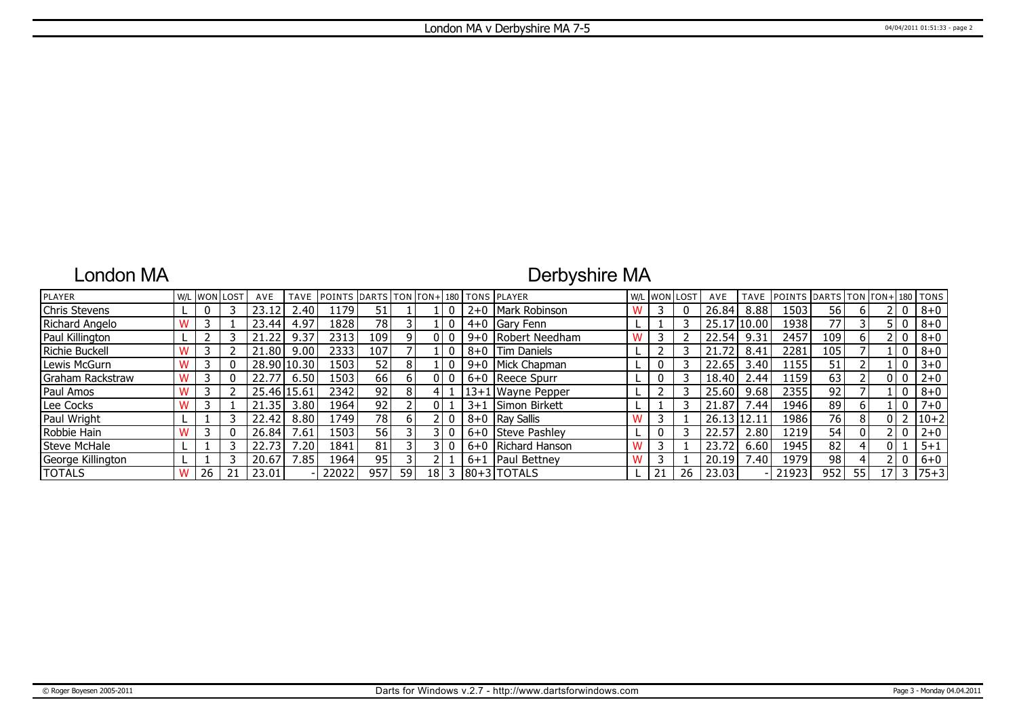### London MA

## Derbyshire MA

| <b>PLAYER</b>     |   |    | W/L WON LOST | AVE         | TAVE           | POINTS DARTS TON FON+ 180 TONS PLAYER |     |    |    |         |                      | W/L WON LOST |    | AVE         | <b>TAVE</b> | <b>POINTS DARTS</b> |     |    |    |              | $TON   TON + 180   TONS$ |
|-------------------|---|----|--------------|-------------|----------------|---------------------------------------|-----|----|----|---------|----------------------|--------------|----|-------------|-------------|---------------------|-----|----|----|--------------|--------------------------|
| Chris Stevens     |   |    |              |             | 2.40           | 1179                                  | 51  |    |    | $2+0$   | Mark Robinson        |              |    | 26.84       | 8.88        | 1503                | 56  |    |    | 0            | $8 + 0$                  |
| Richard Angelo    |   |    |              | 23.44       | 4.97           | 1828                                  | 78. |    |    |         | 4+0 Gary Fenn        |              |    | 25.17 10.00 |             | 1938                | 77  |    |    | 0            | $8 + 0$                  |
| Paul Killington   |   |    |              | 21.22       | 9.37           | 2313                                  | 109 |    |    |         | 9+0 Robert Needham   |              |    | 22.54       | 9.31        | 2457                | 109 | 6  |    | 0            | $8 + 0$                  |
| Richie Buckell    |   |    |              | 21.80       | 9.00           | 2333                                  | 107 |    |    |         | 8+0   Tim Daniels    |              |    | 21.72       | 8.41        | 2281                | 105 |    |    | 0            | $8 + 0$                  |
| Lewis McGurn      |   |    |              | 28.90       | 10.30          | 1503                                  | 52  | 8  |    |         | 9+0   Mick Chapman   |              |    | 22.65       | 3.40        | 1155                | 51  |    |    | 0            | $3 + 0$                  |
| Graham Rackstraw  |   |    |              | 22.77       | 6.50           | 1503                                  | 66  |    |    |         | $6+0$ Reece Spurr    |              |    | 18.40       | 2.44        | 1159                | 63  |    |    | 0            | $2 + 0$                  |
| Paul Amos         |   |    |              | 25.46 15.61 |                | 2342                                  | 92  |    |    |         | 13+1 Wayne Pepper    |              |    | 25.60       | 9.68        | 2355                | 92  |    |    | 0            | $8 + 0$                  |
| Lee Cocks         | w |    |              | 21.35       | 3.80           | 1964                                  | 92  |    |    | $3 + 1$ | <b>Simon Birkett</b> |              |    | 21.87       | 7.44        | 1946                | 89  | 6  |    | 0            | $7 + 0$                  |
| Paul Wright       |   |    |              | 22.42       | 8.80           | 1749                                  | 78  |    |    |         | 8+0   Ray Sallis     |              |    | 26.13 12.11 |             | 1986                | 76  | 8  |    |              | $10 + 2$                 |
| Robbie Hain       |   |    |              | 26.84       | .61            | 1503                                  | 56  |    |    |         | 6+0 Steve Pashley    |              |    | 22.57       | 2.80        | 1219                | 54  | 0  |    | 0            | $2 + 0$                  |
| Steve McHale      |   |    |              | 22.73       | $^{\prime}.20$ | 1841                                  | 81  |    |    |         | 6+0 Richard Hanson   |              |    | 23.72       | 6.60        | 1945                | 82  |    |    |              | $5 + 1$                  |
| George Killington |   |    |              | 20.67       | 7.85           | 1964                                  | 95  |    |    | $6 + 1$ | <b>IPaul Bettney</b> |              |    | 20.19       | 7.40        | 1979                | 98  |    |    | $\mathbf{0}$ | $6+0$                    |
| <b>TOTALS</b>     | W | 26 |              | 23.01       |                | 22022                                 | 957 | 59 | 18 |         | $ 80+3 $ TOTALS      |              | 26 | 23.03       |             | 21923               | 952 | 55 | 17 |              | $75 + 3$                 |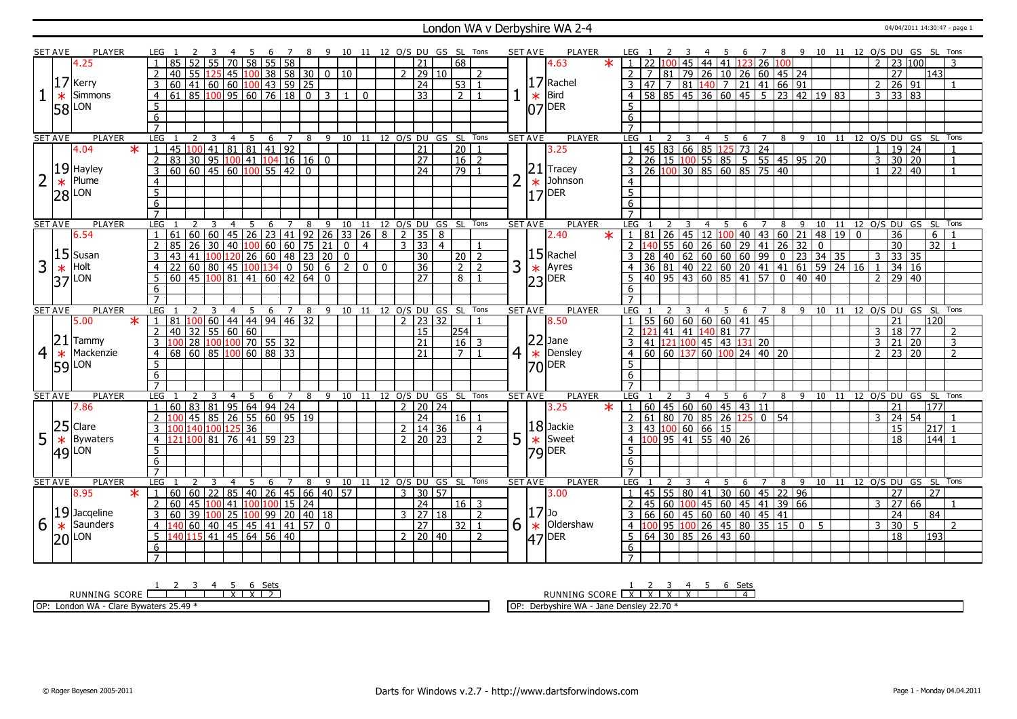#### London WA v Derbyshire WA 2-4 04/04/2011 14:30:47 - page 1

|                | <b>SET AVE</b> | <b>PLAYER</b>       |        |                |                                                    |                                                                     |                 |                |                |     |                 |                                          |              | 8 9 10 11 12 O/S DU GS SL Tons           |                |              |               |                              |                               |                |   | <b>SET AVE</b> | <b>PLAYER</b>                                                              |                     |              |                 |                |                |                       | - 6                              | $\overline{7}$  | 8                                                                                                                                                               |                                                          |                                                              |                                                                                                                                         |                |                       |                     |                | 9 10 11 12 O/S DU GS SL Tons   |  |
|----------------|----------------|---------------------|--------|----------------|----------------------------------------------------|---------------------------------------------------------------------|-----------------|----------------|----------------|-----|-----------------|------------------------------------------|--------------|------------------------------------------|----------------|--------------|---------------|------------------------------|-------------------------------|----------------|---|----------------|----------------------------------------------------------------------------|---------------------|--------------|-----------------|----------------|----------------|-----------------------|----------------------------------|-----------------|-----------------------------------------------------------------------------------------------------------------------------------------------------------------|----------------------------------------------------------|--------------------------------------------------------------|-----------------------------------------------------------------------------------------------------------------------------------------|----------------|-----------------------|---------------------|----------------|--------------------------------|--|
|                |                | 4.25                |        |                | 85                                                 | 55                                                                  | 70              |                | 58             |     | 55 58           |                                          |              |                                          |                |              |               | $\overline{21}$              | 68                            |                |   |                | $\ast$<br>4.63                                                             |                     |              |                 | 45             |                | $44 \mid 41$          |                                  |                 | 123 26 100                                                                                                                                                      |                                                          |                                                              |                                                                                                                                         |                | $\overline{23}$       |                     | 100            |                                |  |
|                |                |                     |        |                | 40<br>55                                           | 125                                                                 |                 |                |                |     |                 |                                          |              | $\boxed{45}$ $\boxed{100}$ 38 58 30 0 10 |                |              |               | $2 \ 29 \ 10$                |                               | $\overline{z}$ |   |                |                                                                            |                     |              |                 |                |                |                       |                                  |                 |                                                                                                                                                                 | 81 79 26 10 26 60 45 24                                  |                                                              |                                                                                                                                         |                | $\overline{27}$       |                     | 143            |                                |  |
|                |                | $17$ Kerry          |        | 3              | 60                                                 | $141$ 60 60                                                         |                 |                |                |     |                 |                                          |              |                                          |                |              |               | $\overline{24}$              | 53 1                          |                |   |                | $17$ Rachel                                                                |                     |              |                 |                |                |                       |                                  |                 |                                                                                                                                                                 |                                                          |                                                              |                                                                                                                                         |                |                       | 26 91               |                |                                |  |
|                |                |                     |        |                |                                                    |                                                                     |                 |                |                |     |                 | $100$ 43 59 25                           |              |                                          |                |              |               |                              |                               |                |   |                |                                                                            |                     |              |                 |                |                |                       |                                  |                 |                                                                                                                                                                 |                                                          | 47 7 81 140 7 21 41 66 91<br>58 85 45 36 60 45 5 23 42 19 83 |                                                                                                                                         | 2              |                       |                     |                |                                |  |
|                | $\ast$         | Simmons             |        | $\overline{4}$ | $61$ 85 100 95 60 76 18 0 3 1                      |                                                                     |                 |                |                |     |                 |                                          |              |                                          | $\Omega$       |              |               | 33                           | $\overline{2}$                | $\overline{1}$ |   | $\ast$         | Bird                                                                       |                     |              |                 |                |                |                       |                                  |                 |                                                                                                                                                                 |                                                          |                                                              |                                                                                                                                         |                | $3 \mid 33 \mid 83$   |                     |                |                                |  |
|                |                | <b>58</b> LON       |        | $\overline{5}$ |                                                    |                                                                     |                 |                |                |     |                 |                                          |              |                                          |                |              |               |                              |                               |                |   |                | $ 07 $ DER                                                                 | 5                   |              |                 |                |                |                       |                                  |                 |                                                                                                                                                                 |                                                          |                                                              |                                                                                                                                         |                |                       |                     |                |                                |  |
|                |                |                     |        | 6              |                                                    |                                                                     |                 |                |                |     |                 |                                          |              |                                          |                |              |               |                              |                               |                |   |                |                                                                            | 6                   |              |                 |                |                |                       |                                  |                 |                                                                                                                                                                 |                                                          |                                                              |                                                                                                                                         |                |                       |                     |                |                                |  |
|                |                |                     |        | $\overline{7}$ |                                                    |                                                                     |                 |                |                |     |                 |                                          |              |                                          |                |              |               |                              |                               |                |   |                |                                                                            | $\overline{7}$      |              |                 |                |                |                       |                                  |                 |                                                                                                                                                                 |                                                          |                                                              |                                                                                                                                         |                |                       |                     |                |                                |  |
|                | <b>SET AVE</b> | <b>PLAYER</b>       |        | LEG            | 2                                                  | 3                                                                   |                 | $\overline{4}$ | -5             | 6   | 7               | 8                                        |              | 9 10 11 12 O/S DU GS SL Tons             |                |              |               |                              |                               |                |   | <b>SET AVE</b> | <b>PLAYER</b>                                                              | LEG <sub>1</sub>    |              |                 | $\overline{3}$ |                |                       | 4 5 6 7                          |                 |                                                                                                                                                                 |                                                          |                                                              |                                                                                                                                         |                |                       |                     |                | 8 9 10 11 12 0/S DU GS SL Tons |  |
|                |                | 4.04                | $\ast$ | $\mathbf{1}$   | 45                                                 | $100$ 41 81 81 41 92                                                |                 |                |                |     |                 |                                          |              |                                          |                |              |               | $\overline{21}$              | 20                            |                |   |                | 3.25                                                                       |                     |              |                 |                |                |                       | 45 83 66 85 125 73 24            |                 |                                                                                                                                                                 |                                                          |                                                              |                                                                                                                                         | $\mathbf{1}$   |                       | $19$ 24             |                |                                |  |
|                |                |                     |        | $\overline{2}$ | 83                                                 |                                                                     |                 |                |                |     |                 | $30   95   100   41   104   16   16   0$ |              |                                          |                |              |               | $\overline{27}$              | $16 \overline{\smash{)}2}$    |                |   |                |                                                                            |                     |              |                 |                |                |                       |                                  |                 |                                                                                                                                                                 |                                                          |                                                              |                                                                                                                                         | $\mathbf{3}$   |                       | $30 \ 20$           |                | $\mathbf{1}$                   |  |
|                |                | $19$ Hayley         |        | $\overline{3}$ | 60                                                 | $\frac{60}{45}$ $\frac{60}{100}$ $\frac{100}{55}$ $\frac{21}{42}$ 0 |                 |                |                |     |                 |                                          |              |                                          |                |              |               | $\sqrt{24}$                  | $\overline{79}$               | $\overline{1}$ |   |                | $ 21 $ Tracey                                                              | 3                   |              |                 |                |                |                       |                                  |                 |                                                                                                                                                                 | 26 15 100 55 85 5 5 45 95 20<br>26 100 30 85 60 85 75 40 |                                                              |                                                                                                                                         | $\mathbf{1}$   |                       | 22   40             |                | $\overline{1}$                 |  |
| $\overline{2}$ | $\ast$         | Plume               |        | $\overline{4}$ |                                                    |                                                                     |                 |                |                |     |                 |                                          |              |                                          |                |              |               |                              |                               |                |   | $\ast$         | Johnson                                                                    | $\overline{4}$      |              |                 |                |                |                       |                                  |                 |                                                                                                                                                                 |                                                          |                                                              |                                                                                                                                         |                |                       |                     |                |                                |  |
|                |                | $28$ $\mu$ on       |        | $\overline{5}$ |                                                    |                                                                     |                 |                |                |     |                 |                                          |              |                                          |                |              |               |                              |                               |                |   | 17             | DER                                                                        | $\overline{5}$      |              |                 |                |                |                       |                                  |                 |                                                                                                                                                                 |                                                          |                                                              |                                                                                                                                         |                |                       |                     |                |                                |  |
|                |                |                     |        | 6              |                                                    |                                                                     |                 |                |                |     |                 |                                          |              |                                          |                |              |               |                              |                               |                |   |                |                                                                            | 6                   |              |                 |                |                |                       |                                  |                 |                                                                                                                                                                 |                                                          |                                                              |                                                                                                                                         |                |                       |                     |                |                                |  |
|                |                |                     |        | $\overline{7}$ |                                                    |                                                                     |                 |                |                |     |                 |                                          |              |                                          |                |              |               |                              |                               |                |   |                |                                                                            | $\overline{7}$      |              |                 |                |                |                       |                                  |                 |                                                                                                                                                                 |                                                          |                                                              |                                                                                                                                         |                |                       |                     |                |                                |  |
|                | <b>SET AVE</b> | <b>PLAYER</b>       |        | LEG            |                                                    | 3                                                                   | $\overline{4}$  |                | 5 <sup>5</sup> | 6   |                 | 78                                       |              | 9 10 11 12 O/S DU GS SL Tons             |                |              |               |                              |                               |                |   | <b>SET AVE</b> | <b>PLAYER</b>                                                              | LEG <sub>1</sub>    |              |                 | 3              | $\overline{4}$ | 5                     | $6^{\circ}$                      |                 |                                                                                                                                                                 |                                                          | 7 8 9 10 11                                                  |                                                                                                                                         |                |                       |                     |                | 12 O/S DU GS SL Tons           |  |
|                |                | 6.54                |        | $\mathbf{1}$   | 61                                                 |                                                                     |                 |                |                |     |                 |                                          |              | 60 60 45 26 23 41 92 26 33 26 8 2 35 8   |                |              |               |                              |                               |                |   |                | 2.40<br>$\ast$                                                             |                     | $1 \vert 81$ | $26$ 45 12 100  |                |                |                       |                                  |                 |                                                                                                                                                                 | 40 43 60 21                                              | 48 19                                                        | $\overline{\phantom{0}}$                                                                                                                |                | 36                    |                     | 6 <sup>1</sup> | $\overline{\mathbf{1}}$        |  |
|                |                |                     |        | 2              | 85                                                 | 26 30                                                               | $\overline{40}$ |                |                |     |                 | 100 60 60 75 21                          |              | $\overline{0}$                           | $\overline{4}$ |              |               | 3 33 4                       |                               | $\overline{1}$ |   |                |                                                                            | 2 1                 |              |                 |                |                |                       |                                  |                 |                                                                                                                                                                 |                                                          |                                                              | 140 55 60 26 60 29 41 26 32 0<br>28 40 62 60 60 60 99 0 23 34 35<br>36 81 40 22 60 20 41 41 61 59 24 16<br>40 95 43 60 85 41 57 0 40 40 |                | $\overline{30}$       |                     | 32             |                                |  |
|                |                | $ 15 $ Susan        |        | $\overline{3}$ | 43<br>41                                           |                                                                     | 100 120         |                |                |     |                 | $\overline{26}$ 60 48 23 20              |              | $\Omega$                                 |                |              |               | 30                           | $\sqrt{20}$ 2                 |                |   |                | $15$ Rachel                                                                |                     |              |                 |                |                |                       |                                  |                 |                                                                                                                                                                 |                                                          |                                                              |                                                                                                                                         | 3              |                       | $33 \overline{)35}$ |                |                                |  |
| 3              |                | Holt                |        | $\overline{4}$ | 22                                                 |                                                                     |                 |                |                |     |                 |                                          |              | $\overline{2}$                           | $\overline{0}$ | $\mathbf{0}$ |               | $\overline{36}$              | $\overline{2}$ $\overline{2}$ |                | 3 |                | Ayres                                                                      |                     |              |                 |                |                |                       |                                  |                 |                                                                                                                                                                 |                                                          |                                                              |                                                                                                                                         | $\overline{1}$ |                       | $34 \mid 16$        |                |                                |  |
|                | $\ast$         |                     |        |                |                                                    |                                                                     |                 |                |                |     |                 | 60 80 45 100 134 0 50 6                  |              |                                          |                |              |               |                              |                               | $\overline{1}$ |   |                |                                                                            | 4                   |              |                 |                |                |                       |                                  |                 |                                                                                                                                                                 |                                                          |                                                              |                                                                                                                                         |                |                       |                     |                |                                |  |
|                |                | $37$ LON            |        | 5              | 60                                                 |                                                                     |                 |                |                |     |                 |                                          |              |                                          |                |              |               | <b>27</b>                    | 8                             |                |   |                | $\begin{array}{c} \hline \textbf{*} \\ \textbf{23} \text{DER} \end{array}$ |                     |              |                 |                |                |                       |                                  |                 |                                                                                                                                                                 |                                                          |                                                              |                                                                                                                                         |                | $2 \mid 29 \mid 40$   |                     |                |                                |  |
|                |                |                     |        | 6              |                                                    |                                                                     |                 |                |                |     |                 |                                          |              |                                          |                |              |               |                              |                               |                |   |                |                                                                            | 6                   |              |                 |                |                |                       |                                  |                 |                                                                                                                                                                 |                                                          |                                                              |                                                                                                                                         |                |                       |                     |                |                                |  |
|                |                |                     |        | $\overline{7}$ |                                                    |                                                                     |                 |                |                |     |                 |                                          |              |                                          |                |              |               |                              |                               |                |   |                |                                                                            |                     |              |                 |                |                |                       |                                  |                 |                                                                                                                                                                 |                                                          |                                                              |                                                                                                                                         |                |                       |                     |                |                                |  |
|                |                |                     |        |                |                                                    |                                                                     |                 |                |                |     |                 |                                          |              |                                          |                |              |               |                              |                               |                |   |                |                                                                            |                     |              |                 |                |                |                       |                                  |                 |                                                                                                                                                                 |                                                          |                                                              |                                                                                                                                         |                | 12 0/S DU GS SL       |                     |                | Tons                           |  |
|                | <b>SET AVE</b> | <b>PLAYER</b>       |        | <b>LEG</b>     |                                                    |                                                                     |                 | $\overline{4}$ | 5              | 6   | $7\overline{ }$ | 8                                        |              |                                          |                |              |               | 9 10 11 12 0/S DU GS SL Tons |                               |                |   | <b>SET AVE</b> | <b>PLAYER</b>                                                              | LEG                 |              |                 |                |                | 5<br>4                |                                  | $6\overline{7}$ |                                                                                                                                                                 |                                                          | 8 9 10 11                                                    |                                                                                                                                         |                |                       |                     |                |                                |  |
|                |                | 5.00                | $\ast$ |                |                                                    |                                                                     |                 |                |                |     |                 |                                          |              |                                          |                |              | $\mathcal{L}$ | 23 32                        |                               |                |   |                | 8.50                                                                       |                     | 55           |                 |                |                |                       | 60   60   60   60   41   45      |                 |                                                                                                                                                                 |                                                          |                                                              |                                                                                                                                         |                | 21                    |                     | 120            |                                |  |
|                |                |                     |        | $\overline{2}$ | 81 100 60 44 44 94 46 32<br>40 32 55 60 60         |                                                                     |                 |                |                |     |                 |                                          |              |                                          |                |              |               | 15                           | 254                           |                |   |                |                                                                            |                     |              |                 | 41 41          |                |                       | 1408177                          |                 |                                                                                                                                                                 |                                                          |                                                              |                                                                                                                                         |                | 3   18   77           |                     |                | $\mathcal{L}$                  |  |
|                | 21             | Tammy               |        | 3              | 100                                                | 28 100 100 70 55 32                                                 |                 |                |                |     |                 |                                          |              |                                          |                |              |               | 21                           | $\boxed{16}$ 3                |                |   |                | $22$ Jane                                                                  |                     |              |                 |                |                |                       |                                  |                 |                                                                                                                                                                 |                                                          |                                                              |                                                                                                                                         | $\mathbf{3}$   | 21                    | 20                  |                | $\overline{3}$                 |  |
| $\overline{4}$ | $\ast$         | Mackenzie           |        | $\overline{4}$ | 68                                                 |                                                                     |                 |                |                |     |                 |                                          |              |                                          |                |              |               | 21                           | $\overline{7}$                | $\overline{1}$ | 4 |                | $\star$ Densley                                                            |                     |              |                 |                |                |                       |                                  |                 | $\begin{array}{ c c c c c c c c c } \hline 3 & 41 & 121 & 100 & 45 & 43 & 131 & 20 \\ \hline 4 & 60 & 60 & 137 & 60 & 100 & 24 & 40 & 20 \\ \hline \end{array}$ |                                                          |                                                              |                                                                                                                                         |                | $2\sqrt{23}\sqrt{20}$ |                     |                | $\overline{2}$                 |  |
|                |                |                     |        | 5              |                                                    |                                                                     |                 |                |                |     |                 |                                          |              |                                          |                |              |               |                              |                               |                |   |                |                                                                            | 5                   |              |                 |                |                |                       |                                  |                 |                                                                                                                                                                 |                                                          |                                                              |                                                                                                                                         |                |                       |                     |                |                                |  |
|                |                | $59$ <sup>LON</sup> |        | 6              |                                                    |                                                                     |                 |                |                |     |                 |                                          |              |                                          |                |              |               |                              |                               |                |   |                | $ 70 $ <sup>DER</sup>                                                      | 6                   |              |                 |                |                |                       |                                  |                 |                                                                                                                                                                 |                                                          |                                                              |                                                                                                                                         |                |                       |                     |                |                                |  |
|                |                |                     |        | $\overline{7}$ |                                                    |                                                                     |                 |                |                |     |                 |                                          |              |                                          |                |              |               |                              |                               |                |   |                |                                                                            | $\overline{7}$      |              |                 |                |                |                       |                                  |                 |                                                                                                                                                                 |                                                          |                                                              |                                                                                                                                         |                |                       |                     |                |                                |  |
|                | <b>SET AVE</b> | <b>PLAYER</b>       |        | <b>LEG</b>     |                                                    |                                                                     |                 |                |                |     |                 | 8                                        |              | 9 10 11 12 0/S DU GS SL                  |                |              |               |                              |                               | Tons           |   | <b>SET AVE</b> | <b>PLAYER</b>                                                              | <b>LEG</b>          |              |                 | 3              | $\overline{4}$ | 5                     | 6                                | $\overline{7}$  |                                                                                                                                                                 |                                                          |                                                              | 8 9 10 11 12 0/S DU GS SL                                                                                                               |                |                       |                     |                | Tons                           |  |
|                |                | 7.86                |        | $\mathbf{1}$   | 60                                                 |                                                                     |                 |                |                |     |                 |                                          |              |                                          |                |              |               | 2   20   24                  |                               |                |   |                | 3.25<br>$\star$                                                            | $\mathbf{1}$        |              |                 |                |                |                       |                                  |                 |                                                                                                                                                                 |                                                          |                                                              |                                                                                                                                         |                | 21                    |                     | 1771           |                                |  |
|                |                |                     |        | $\overline{2}$ |                                                    | 2 3 4 5 6 7<br>83 81 95 64 94 24<br>$45 \ 85 \ 26$                  |                 |                |                |     |                 |                                          |              |                                          |                |              |               | 24                           | 16   1                        |                |   |                |                                                                            | 2                   |              |                 |                |                |                       | 60   45   60   60   45   43   11 |                 |                                                                                                                                                                 |                                                          |                                                              |                                                                                                                                         | 3              | $\overline{24}$       |                     | 54             | -1                             |  |
|                |                |                     |        | 3              |                                                    |                                                                     |                 |                |                |     |                 | 55 60 95 19                              |              |                                          |                |              |               |                              |                               | $\overline{4}$ |   |                | $18$ Jackie                                                                | 3                   |              |                 |                |                |                       |                                  |                 | $\mid$ 61   80   70   85   26   125   0   54                                                                                                                    |                                                          |                                                              |                                                                                                                                         |                |                       |                     |                | 217 1                          |  |
|                |                | $25$ Clare          |        |                | 100 140 100 125<br>121<br>100                      |                                                                     |                 |                | 36             |     |                 |                                          |              |                                          |                |              |               | $2 \mid 14 \mid 36$          |                               | $\overline{z}$ |   |                |                                                                            |                     |              | 43 100 60 66 15 |                |                |                       |                                  |                 |                                                                                                                                                                 |                                                          |                                                              |                                                                                                                                         |                | $\overline{15}$       |                     |                |                                |  |
| 5              | $\ast$         | <b>Bywaters</b>     |        | $\overline{4}$ |                                                    |                                                                     | 81 76 41 59 23  |                |                |     |                 |                                          |              |                                          |                |              |               | $2 \mid 20 \mid 23$          |                               |                | 5 | $\ast$         | Sweet                                                                      |                     |              |                 |                |                |                       | 4 100 95 41 55 40 26             |                 |                                                                                                                                                                 |                                                          |                                                              |                                                                                                                                         |                | 18                    |                     |                | $\overline{144}$ 1             |  |
|                |                | 49 LON              |        | 5              |                                                    |                                                                     |                 |                |                |     |                 |                                          |              |                                          |                |              |               |                              |                               |                |   |                | <b>79 DER</b>                                                              | 5                   |              |                 |                |                |                       |                                  |                 |                                                                                                                                                                 |                                                          |                                                              |                                                                                                                                         |                |                       |                     |                |                                |  |
|                |                |                     |        | $6\overline{}$ |                                                    |                                                                     |                 |                |                |     |                 |                                          |              |                                          |                |              |               |                              |                               |                |   |                |                                                                            | 6                   |              |                 |                |                |                       |                                  |                 |                                                                                                                                                                 |                                                          |                                                              |                                                                                                                                         |                |                       |                     |                |                                |  |
|                |                |                     |        | $\overline{7}$ |                                                    |                                                                     |                 |                |                |     |                 |                                          |              |                                          |                |              |               |                              |                               |                |   |                |                                                                            |                     |              |                 |                |                |                       |                                  |                 |                                                                                                                                                                 |                                                          |                                                              |                                                                                                                                         |                |                       |                     |                |                                |  |
|                | <b>SET AVE</b> | <b>PLAYER</b>       |        | $LEG$ 1        |                                                    |                                                                     | $\overline{4}$  |                | 5              |     | 6 7             | 8                                        |              | 9 10 11 12 0/S DU GS SL Tons             |                |              |               |                              |                               |                |   | <b>SET AVE</b> | <b>PLAYER</b>                                                              | LEG <sub>1</sub>    |              |                 |                |                | - 5<br>$\overline{4}$ | 6                                | $\overline{7}$  | 8                                                                                                                                                               | 9                                                        |                                                              |                                                                                                                                         |                |                       |                     |                | 10 11 12 O/S DU GS SL Tons     |  |
|                |                | 8.95                | $\ast$ | $\mathbf{1}$   | 60<br>60                                           |                                                                     | 22 85           |                |                |     |                 |                                          |              | 40 26 45 66 40 57                        |                |              |               | 3   30   57                  |                               |                |   |                | 3.00                                                                       |                     |              |                 |                |                |                       |                                  |                 |                                                                                                                                                                 | 45   55   80   41   30   60   45   22   96               |                                                              |                                                                                                                                         |                | $\overline{27}$       |                     | 27             |                                |  |
|                |                |                     |        | $\overline{2}$ | 60<br>l 45                                         |                                                                     | 100 41          |                | 100            | 100 |                 | 15 24                                    |              |                                          |                |              |               | 24                           | $16$ 3                        |                |   |                |                                                                            |                     |              |                 |                |                |                       |                                  |                 |                                                                                                                                                                 | 45 60 100 45 60 45 41 39 66                              |                                                              |                                                                                                                                         | $\mathbf{3}$   | $\overline{27}$       | 66                  |                |                                |  |
|                |                | $19$ Jacqeline      |        | 3              | $\overline{39}$<br>60                              |                                                                     |                 |                |                |     |                 | $100$ 25 $100$ 99 20 40 18               |              |                                          |                |              |               | 3   27   18                  |                               | $\overline{2}$ |   | $17$ Jo        |                                                                            |                     |              |                 |                |                |                       |                                  |                 | 66 60 45 60 60 40 45 41                                                                                                                                         |                                                          |                                                              |                                                                                                                                         |                | $\overline{24}$       |                     | 84             |                                |  |
| 6              | $\ast$         | Saunders            |        | $\overline{4}$ |                                                    |                                                                     |                 |                |                |     |                 |                                          | $\mathbf{0}$ |                                          |                |              |               | 27                           | 32 1                          |                | 6 | $\rightarrow$  | Oldershaw                                                                  |                     |              |                 |                |                |                       |                                  |                 |                                                                                                                                                                 |                                                          | - 5                                                          |                                                                                                                                         | 3              | 30                    |                     | $5^{\circ}$    | $\overline{2}$                 |  |
|                |                | $20$ LON            |        | 5              | 140 60 40 45 45 41 41 57<br>140 115 41 45 64 56 40 |                                                                     |                 |                |                |     |                 |                                          |              |                                          |                |              |               | 2 20 40                      |                               | $\overline{2}$ |   |                |                                                                            |                     |              |                 |                |                |                       |                                  |                 |                                                                                                                                                                 | 4 100 95 100 26 45 80 35 15 0<br>5 64 30 85 26 43 60     |                                                              |                                                                                                                                         |                | $\overline{18}$       |                     | 1931           |                                |  |
|                |                |                     |        | 6              |                                                    |                                                                     |                 |                |                |     |                 |                                          |              |                                          |                |              |               |                              |                               |                |   |                | $ 47 $ <sup>DER</sup>                                                      | 6<br>$\overline{7}$ |              |                 |                |                |                       |                                  |                 |                                                                                                                                                                 |                                                          |                                                              |                                                                                                                                         |                |                       |                     |                |                                |  |

RUNNING SCORE 1 2 3 4 5 X 6 X Sets 2

OP: London WA - Clare Bywaters 25.49 \*

RUNNING SCORE 1 X 2 X 3 X 4 X 5 6 Sets 4

OP: Derbyshire WA - Jane Densley 22.70 \*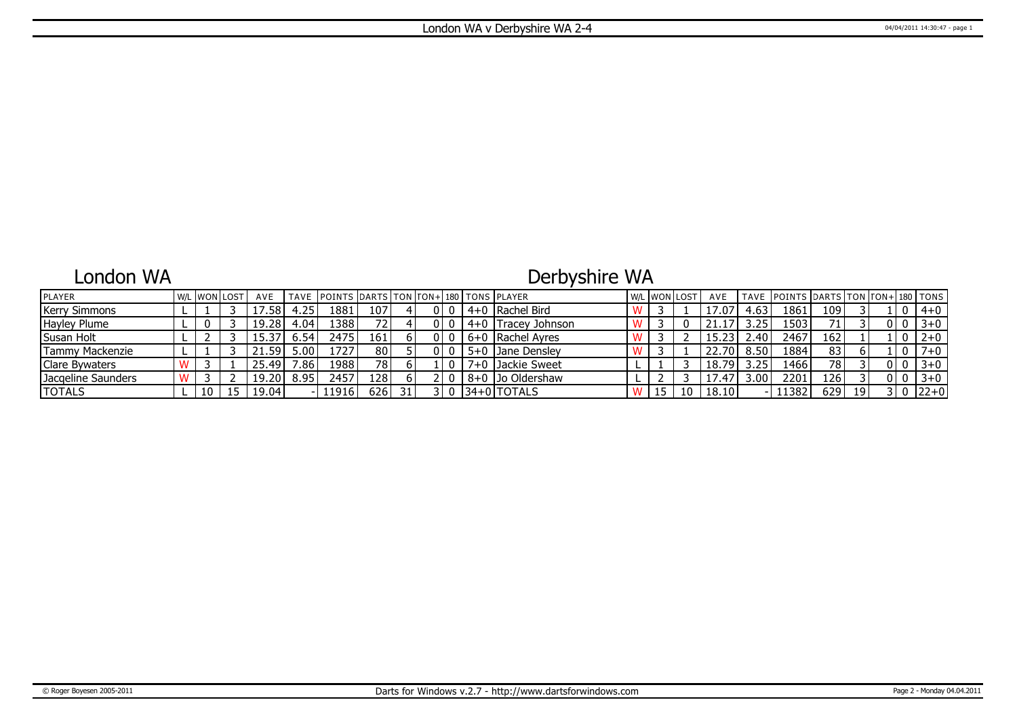### London WA

# Derbyshire WA

| <b>IPLAYER</b>       |  | <b>W/L WON LOST</b> | AVE    |                   | TAVE POINTS DARTS TON FON+1180 TONS PLAYER |                  |  |  |                    |    | l w/l lwon llost | AVE   |                | TAVE   POINTS   DARTS   TON   TON+   180   TONS |                 |    |     |         |
|----------------------|--|---------------------|--------|-------------------|--------------------------------------------|------------------|--|--|--------------------|----|------------------|-------|----------------|-------------------------------------------------|-----------------|----|-----|---------|
| <b>Kerry Simmons</b> |  |                     | 7.58   | 4.25'             | 1881                                       | 107              |  |  | 4+0   Rachel Bird  |    |                  | 17.07 | 4.63           | 1861                                            | 109             |    |     | $4 + 0$ |
| Hayley Plume         |  |                     | 19.28  | 4.04              | 13881                                      | 72 I             |  |  | 4+0 Tracey Johnson |    |                  |       | 0.25           | 1503                                            | 71 <sub>1</sub> |    |     | $3 + 0$ |
| Susan Holt           |  |                     |        | 6.54              | 2475                                       | 161 <sub>1</sub> |  |  | 6+0   Rachel Avres |    |                  | 15.23 | $2.40^{\circ}$ | 2467                                            | 162             |    |     | $2+0$   |
| Tammy Mackenzie      |  |                     | 21.59' | 5.00 <sup>1</sup> | 1727                                       | 80               |  |  | 5+0 Jane Densley   |    |                  | 22.70 | 8.50           | 1884                                            | 83              |    |     | $7 + 0$ |
| Clare Bywaters       |  |                     | 25.49  | 7.86 <sub>1</sub> | !988                                       | 78               |  |  | 7+0 Jackie Sweet   |    |                  | 18.79 | 3.25           | 1466 l                                          | 78 I            |    | 010 | $3 + 0$ |
| Jacgeline Saunders   |  |                     | 19.20  | 8.95              | 2457                                       | 128 l            |  |  | 8+0 Jo Oldershaw   |    |                  | 17.47 | $.00\%$        | 2201                                            | 126             |    |     | $3 + 0$ |
| <b>TOTALS</b>        |  |                     | 19.04  |                   | 11916                                      | 626 l            |  |  | 134+01TOTALS       | IJ | 10               | 18.10 |                | 11382                                           | 629             | 19 |     | $22+0$  |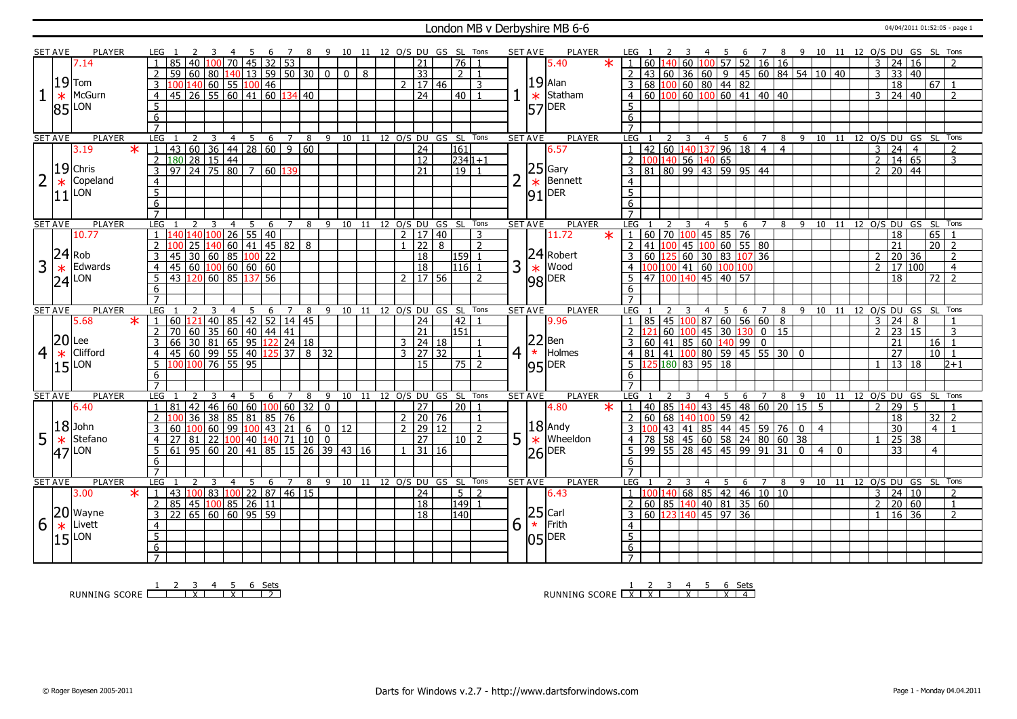#### London MB v Derbyshire MB 6-6 04/04/2011 01:52:05 - page 1

|                | <b>SET AVE</b> | PLAYER                    |                 | LEG 1                                                            |                                                      | -3                   | -4             | - 5 | 6 | $\overline{7}$ |                 |                    |                                            |             |   |  |                     |                | 8 9 10 11 12 O/S DU GS SL Tons |                            | SET AVE        |                 | PLAYER                            |         | LEG 1                                            | <sup>2</sup>                    |                |                |     |                                                                                 |                                               |                                                                               |   | 3 4 5 6 7 8 9 10 11 12 O/S DU GS SL Tons                  |            |       |                |                 |                    |                 |                |
|----------------|----------------|---------------------------|-----------------|------------------------------------------------------------------|------------------------------------------------------|----------------------|----------------|-----|---|----------------|-----------------|--------------------|--------------------------------------------|-------------|---|--|---------------------|----------------|--------------------------------|----------------------------|----------------|-----------------|-----------------------------------|---------|--------------------------------------------------|---------------------------------|----------------|----------------|-----|---------------------------------------------------------------------------------|-----------------------------------------------|-------------------------------------------------------------------------------|---|-----------------------------------------------------------|------------|-------|----------------|-----------------|--------------------|-----------------|----------------|
|                |                | 7.14                      | $\overline{1}$  | $\overline{85}$                                                  | 40   100                                             |                      | $70$ 45 32 53  |     |   |                |                 |                    |                                            |             |   |  | 21                  |                | $\overline{76}$ 1              |                            |                |                 | 5.40                              | $\star$ |                                                  |                                 |                |                |     |                                                                                 |                                               | $1   60   140   60   100   57   52   16   16$                                 |   |                                                           |            |       | $\overline{3}$ |                 | 24 16              |                 |                |
|                |                |                           | 2               |                                                                  | 59 60 80 140 13 59 50 30 0                           |                      |                |     |   |                |                 |                    |                                            | $\boxed{0}$ | 8 |  | $\overline{33}$     |                | $2\sqrt{1}$                    |                            |                |                 |                                   |         |                                                  |                                 |                |                |     |                                                                                 |                                               |                                                                               |   | $2   43   60   36   60   9   45   60   84   54   10   40$ |            |       | $\overline{3}$ |                 | 33   40            |                 |                |
|                |                | $19$ Tom                  |                 |                                                                  |                                                      |                      |                |     |   |                |                 |                    |                                            |             |   |  |                     |                |                                |                            |                |                 | $19$ Alan                         |         |                                                  |                                 |                |                |     |                                                                                 |                                               |                                                                               |   |                                                           |            |       |                |                 |                    |                 |                |
|                |                |                           | $\overline{3}$  |                                                                  | 100 140 60 55 100 46                                 |                      |                |     |   |                |                 |                    |                                            |             |   |  | $2 \mid 17 \mid 46$ |                |                                | $\overline{3}$             |                |                 |                                   |         |                                                  |                                 |                |                |     | 6810060804482                                                                   |                                               |                                                                               |   |                                                           |            |       |                | $\overline{18}$ |                    | 67 1            |                |
|                | $\ast$         | McGurn                    | $\overline{4}$  |                                                                  | $\frac{1}{45}$ 26 55 60 41 60 134 40                 |                      |                |     |   |                |                 |                    |                                            |             |   |  | $\overline{24}$     |                | $\boxed{40}$ 1                 |                            |                | $\ast$          | Statham                           |         |                                                  |                                 |                |                |     |                                                                                 |                                               | $4   60   100   60   100   60   41   40   40$                                 |   |                                                           |            |       |                |                 | $3 \ 24 \ 40$      |                 | $\overline{2}$ |
|                | 85             | LON                       | 5               |                                                                  |                                                      |                      |                |     |   |                |                 |                    |                                            |             |   |  |                     |                |                                |                            |                | $\overline{57}$ | DER                               |         | 5                                                |                                 |                |                |     |                                                                                 |                                               |                                                                               |   |                                                           |            |       |                |                 |                    |                 |                |
|                |                |                           | 6               |                                                                  |                                                      |                      |                |     |   |                |                 |                    |                                            |             |   |  |                     |                |                                |                            |                |                 |                                   |         | 6                                                |                                 |                |                |     |                                                                                 |                                               |                                                                               |   |                                                           |            |       |                |                 |                    |                 |                |
|                |                |                           |                 |                                                                  |                                                      |                      |                |     |   |                |                 |                    |                                            |             |   |  |                     |                |                                |                            |                |                 |                                   |         |                                                  |                                 |                |                |     |                                                                                 |                                               |                                                                               |   |                                                           |            |       |                |                 |                    |                 |                |
|                | <b>SET AVE</b> | <b>PLAYER</b>             |                 | <b>LEG</b>                                                       | 2                                                    | $\overline{3}$       | $4 5 6 7$      |     |   |                | 8               |                    |                                            |             |   |  |                     |                | 9 10 11 12 0/S DU GS SL Tons   |                            | <b>SET AVE</b> |                 | <b>PLAYER</b>                     |         | LEG                                              | 2                               |                |                |     | $3 \quad 4 \quad 5 \quad 6$                                                     |                                               |                                                                               |   | 8 9 10 11 12 0/S DU GS SL Tons                            |            |       |                |                 |                    |                 |                |
|                |                | $\overline{\ast}$<br>3.19 | $\mathbf{1}$    | 1 43 60 36 44 28 60 9 60<br>180 28 15 44<br>97 24 75 80 7 60 139 |                                                      |                      |                |     |   |                |                 |                    |                                            |             |   |  | $\overline{24}$     |                | 161                            |                            |                |                 | 6.57                              |         | $\overline{1}$                                   |                                 |                |                |     |                                                                                 | $142$ 60 140 137 96 18 4                      | $\overline{4}$                                                                |   |                                                           |            |       | $\mathbf{3}$   | $\overline{24}$ | $\frac{4}{1}$      |                 |                |
|                |                |                           | $\overline{2}$  |                                                                  |                                                      |                      |                |     |   |                |                 |                    |                                            |             |   |  | $\overline{12}$     |                | $234 1+1$                      |                            |                |                 |                                   |         |                                                  |                                 |                |                |     |                                                                                 |                                               |                                                                               |   |                                                           |            |       | $\overline{2}$ |                 | $\overline{14}$ 65 |                 | $\overline{3}$ |
|                |                | $19$ Chris                | $\overline{3}$  |                                                                  |                                                      |                      |                |     |   |                |                 |                    |                                            |             |   |  | $\overline{21}$     |                | $\boxed{19}$ $\boxed{1}$       |                            |                |                 |                                   |         |                                                  |                                 |                |                |     |                                                                                 | 2 100 140 56 140 65<br>3 81 80 99 43 59 95 44 |                                                                               |   |                                                           |            |       | 2 <sup>1</sup> |                 | 20 44              |                 |                |
|                | $\ast$         | Copeland                  | $\overline{4}$  |                                                                  |                                                      |                      |                |     |   |                |                 |                    |                                            |             |   |  |                     |                |                                |                            | $\overline{2}$ |                 | $\left 25\right $ Gary<br>Bennett |         | $\overline{4}$                                   |                                 |                |                |     |                                                                                 |                                               |                                                                               |   |                                                           |            |       |                |                 |                    |                 |                |
|                |                | LON                       | 5               |                                                                  |                                                      |                      |                |     |   |                |                 |                    |                                            |             |   |  |                     |                |                                |                            |                |                 | DER                               |         | $5^{\circ}$                                      |                                 |                |                |     |                                                                                 |                                               |                                                                               |   |                                                           |            |       |                |                 |                    |                 |                |
|                |                |                           |                 |                                                                  |                                                      |                      |                |     |   |                |                 |                    |                                            |             |   |  |                     |                |                                |                            |                | 91              |                                   |         |                                                  |                                 |                |                |     |                                                                                 |                                               |                                                                               |   |                                                           |            |       |                |                 |                    |                 |                |
|                |                |                           | 6               |                                                                  |                                                      |                      |                |     |   |                |                 |                    |                                            |             |   |  |                     |                |                                |                            |                |                 |                                   |         | 6<br>$\overline{7}$                              |                                 |                |                |     |                                                                                 |                                               |                                                                               |   |                                                           |            |       |                |                 |                    |                 |                |
|                |                |                           | $\overline{7}$  |                                                                  |                                                      |                      |                |     |   |                |                 |                    |                                            |             |   |  |                     |                |                                |                            |                |                 |                                   |         |                                                  |                                 |                |                |     |                                                                                 |                                               |                                                                               |   |                                                           |            |       |                |                 |                    |                 |                |
|                | <b>SET AVE</b> | <b>PLAYER</b>             |                 | <b>LEG</b>                                                       | $\overline{2}$                                       | 3                    | $\overline{4}$ | - 5 | 6 | $\overline{7}$ | 8               |                    |                                            |             |   |  |                     |                | 9 10 11 12 0/S DU GS SL Tons   |                            | <b>SET AVE</b> |                 | <b>PLAYER</b>                     |         | LEG                                              |                                 |                |                |     |                                                                                 |                                               |                                                                               |   | 4 5 6 7 8 9 10 11 12 O/S DU GS SL Tons                    |            |       |                |                 |                    |                 |                |
|                |                | 10.77                     | $\overline{1}$  |                                                                  | 140 140 100 26 55 40<br>100 25 140 60 41 45 82       |                      |                |     |   |                |                 |                    |                                            |             |   |  | 2   17   40         |                |                                | 3                          |                |                 | 11.72                             | $\ast$  | 1 60 70 100 45 85 76<br>2 41 100 45 100 60 55 80 |                                 |                |                |     |                                                                                 |                                               |                                                                               |   |                                                           |            |       |                | 18              |                    | 65              |                |
|                |                |                           |                 |                                                                  |                                                      |                      |                |     |   |                | 8               |                    |                                            |             |   |  | $1 \overline{22}$   | $\overline{8}$ |                                | $\overline{2}$             |                |                 |                                   |         |                                                  |                                 |                |                |     |                                                                                 |                                               |                                                                               |   |                                                           |            |       |                | 21              |                    | $\overline{20}$ | $\overline{2}$ |
|                | 24             | Rob                       |                 |                                                                  |                                                      |                      |                |     |   |                |                 |                    |                                            |             |   |  | 18                  |                | 159                            |                            |                |                 | 24 Robert                         |         |                                                  |                                 |                |                |     |                                                                                 | $60$ $125$ $60$ $30$ $83$ $107$ $36$          |                                                                               |   |                                                           |            |       | $\overline{2}$ |                 | 20 36              |                 | $\overline{2}$ |
| 3              | $\ast$         | Edwards                   | $\overline{4}$  | 45 30 60 85 100 22<br>45 60 100 60 60 60<br>43 120 60 85 137 56  |                                                      |                      |                |     |   |                |                 |                    |                                            |             |   |  | $\overline{18}$     |                | $116$ 1                        |                            | 3              |                 | Wood<br>$\frac{*}{98}$ Moo        |         |                                                  |                                 |                |                |     | 00 100 41 60 100 100                                                            |                                               |                                                                               |   |                                                           |            |       | $\mathcal{P}$  |                 | 17 100             |                 | $\overline{4}$ |
|                | 24             | LON                       | 5               |                                                                  |                                                      |                      |                |     |   |                |                 |                    |                                            |             |   |  | $2 \mid 17 \mid 56$ |                |                                | $\overline{z}$             |                |                 |                                   |         |                                                  |                                 |                |                |     | $\boxed{47}$ $\boxed{100}$ $\boxed{140}$ $\boxed{45}$ $\boxed{40}$ $\boxed{57}$ |                                               |                                                                               |   |                                                           |            |       |                | 18              |                    | 72              | $\mathcal{L}$  |
|                |                |                           | 6               |                                                                  |                                                      |                      |                |     |   |                |                 |                    |                                            |             |   |  |                     |                |                                |                            |                |                 |                                   |         | 6                                                |                                 |                |                |     |                                                                                 |                                               |                                                                               |   |                                                           |            |       |                |                 |                    |                 |                |
|                |                |                           | $\overline{7}$  |                                                                  |                                                      |                      |                |     |   |                |                 |                    |                                            |             |   |  |                     |                |                                |                            |                |                 |                                   |         | $\overline{7}$                                   |                                 |                |                |     |                                                                                 |                                               |                                                                               |   |                                                           |            |       |                |                 |                    |                 |                |
| <b>SET AVE</b> |                |                           |                 |                                                                  |                                                      |                      | 4              | 5   | 6 | 7              | 8               |                    | 9                                          |             |   |  |                     |                |                                | 10 11 12 0/S DU GS SL Tons |                | <b>SET AVE</b>  | <b>PLAYER</b>                     |         | <b>LEG</b>                                       |                                 |                | 4              | 5   | 6                                                                               |                                               | 8                                                                             | 9 |                                                           |            | 10 11 |                |                 | 12 O/S DU GS       | <b>SL</b>       | Tons           |
|                |                | <b>PLAYER</b>             | <b>LEG</b>      |                                                                  |                                                      |                      |                |     |   |                |                 |                    |                                            |             |   |  |                     |                |                                |                            |                |                 |                                   |         |                                                  |                                 |                |                |     |                                                                                 |                                               |                                                                               |   |                                                           |            |       |                |                 |                    |                 |                |
|                |                | $\ast$<br>5.68            | $\vert$ 1       |                                                                  |                                                      |                      |                |     |   |                |                 |                    |                                            |             |   |  |                     |                |                                |                            |                |                 |                                   |         |                                                  |                                 |                |                |     |                                                                                 |                                               |                                                                               |   |                                                           |            |       | $\overline{3}$ |                 |                    |                 |                |
|                |                |                           |                 | 60 121                                                           |                                                      | 40 85 42 52 14 45    |                |     |   |                |                 |                    |                                            |             |   |  | $\sqrt{24}$         |                | $\overline{42}$<br>151         |                            |                |                 | 9.96                              |         |                                                  |                                 |                |                |     |                                                                                 |                                               | $1   85   45   100   87   60   56   60   8$                                   |   |                                                           |            |       | $\overline{2}$ | 24              | 8 <br>15           |                 | $\mathbf{3}$   |
|                |                |                           | 2               |                                                                  |                                                      |                      |                |     |   |                |                 |                    |                                            |             |   |  | $\overline{21}$     |                |                                |                            |                |                 |                                   |         |                                                  |                                 |                |                |     |                                                                                 |                                               |                                                                               |   |                                                           |            |       |                | 23              |                    |                 |                |
|                | 20             | Lee                       | $\overline{3}$  |                                                                  |                                                      |                      |                |     |   |                |                 |                    |                                            |             |   |  | $3 \mid 24 \mid 18$ |                |                                |                            |                | 22              | Ben                               |         |                                                  |                                 |                |                |     |                                                                                 |                                               |                                                                               |   |                                                           |            |       |                | 21              |                    | 16              |                |
| 4              | $\ast$         | Clifford                  | $\overline{4}$  |                                                                  |                                                      |                      |                |     |   |                |                 | $8 \overline{)32}$ |                                            |             |   |  | $3 \mid 27 \mid 32$ |                |                                | $\overline{1}$             | 4 <sup>1</sup> | $\star$         | Holmes                            |         |                                                  |                                 |                |                |     |                                                                                 |                                               |                                                                               |   |                                                           |            |       |                | 27              |                    | $10$ 1          |                |
|                | 15             | LON                       | $5^{\circ}$     |                                                                  |                                                      |                      |                |     |   |                |                 |                    |                                            |             |   |  | 15                  |                | $\boxed{75}$ $\boxed{2}$       |                            |                |                 | $ 95 $ <sup>DER</sup>             |         |                                                  | $\overline{5}$ 125 180 83 95 18 |                |                |     |                                                                                 |                                               |                                                                               |   |                                                           |            |       | $\mathbf{1}$   |                 | 13 18              |                 | $2 + 1$        |
|                |                |                           | 6               |                                                                  |                                                      |                      |                |     |   |                |                 |                    |                                            |             |   |  |                     |                |                                |                            |                |                 |                                   |         | 6                                                |                                 |                |                |     |                                                                                 |                                               |                                                                               |   |                                                           |            |       |                |                 |                    |                 |                |
|                |                |                           | $\overline{7}$  |                                                                  |                                                      |                      |                |     |   |                |                 |                    |                                            |             |   |  |                     |                |                                |                            |                |                 |                                   |         |                                                  |                                 |                |                |     |                                                                                 |                                               |                                                                               |   |                                                           |            |       |                |                 |                    |                 |                |
|                | <b>SET AVE</b> | PLAYER                    |                 | LEG                                                              |                                                      | 3                    | $\overline{4}$ | -5  | 6 | $\overline{7}$ | 8               |                    | 9                                          |             |   |  |                     |                | 10 11 12 0/S DU GS SL Tons     |                            | <b>SET AVE</b> |                 | PLAYER                            |         | <b>LEG</b>                                       |                                 |                | $\overline{4}$ | 5   | 6                                                                               |                                               |                                                                               |   | 7 8 9 10 11 12 0/S DU GS SL                               |            |       |                |                 |                    |                 | Tons           |
|                |                | 6.40                      | $\overline{1}$  | 81                                                               | $\overline{42}$                                      | 46 60 60 100 60      |                |     |   |                | $\overline{32}$ |                    | $\Omega$                                   |             |   |  | 27                  |                | $\overline{20}$                | $\overline{1}$             |                |                 | 4.80                              |         |                                                  |                                 |                |                |     |                                                                                 |                                               |                                                                               |   | $1   40   85   140   43   45   48   60   20   15   5$     |            |       | $2^{\circ}$    | 29              | $5^{\circ}$        |                 |                |
|                |                |                           |                 |                                                                  | 36                                                   | 38                   | 85 81 85 76    |     |   |                |                 |                    |                                            |             |   |  | $2$   20   76       |                |                                | 1                          |                |                 |                                   |         |                                                  |                                 |                |                |     | 2   60   68   140   100   59   42                                               |                                               |                                                                               |   |                                                           |            |       |                | 18              |                    | 32              | $\overline{z}$ |
|                |                | $ 18 $ John               | 3               |                                                                  | 60 100 60 99 100 43 21                               |                      |                |     |   |                | 6               |                    | $0 \mid 12$                                |             |   |  | 2   29   12         |                |                                | $\overline{2}$             |                |                 | $18$ Andy                         |         |                                                  |                                 |                |                |     |                                                                                 |                                               |                                                                               |   | 43   41   85   44   45   59   76   0   4                  |            |       |                | 30              |                    | $\overline{4}$  |                |
| 5              | $\ast$         | Stefano                   | $\overline{4}$  | 27                                                               | 81                                                   | 22  100  40  140  71 |                |     |   |                | 10              |                    | $\mathbf{0}$                               |             |   |  | 27                  |                | 10                             | $\overline{2}$             | 5              |                 | Wheeldon                          |         |                                                  |                                 |                |                |     |                                                                                 | 4 78 58 45 60 58 24 80                        | 60 38                                                                         |   |                                                           |            |       | $\mathbf{1}$   |                 | 25 38              |                 |                |
|                |                | LON                       | 5               |                                                                  |                                                      |                      |                |     |   |                |                 |                    | $\boxed{61}$ 95 60 20 41 85 15 26 39 43 16 |             |   |  | 1 31 16             |                |                                |                            |                | $\ast$          |                                   |         |                                                  |                                 |                |                |     |                                                                                 |                                               | $\frac{1}{5}$   99   55   28   45   45   99   91   31   0                     |   |                                                           | $4 \mid 0$ |       |                | $\overline{33}$ |                    | $\overline{4}$  |                |
|                | <b>47</b>      |                           | 6               |                                                                  |                                                      |                      |                |     |   |                |                 |                    |                                            |             |   |  |                     |                |                                |                            |                | 26              | <b>DER</b>                        |         | 6                                                |                                 |                |                |     |                                                                                 |                                               |                                                                               |   |                                                           |            |       |                |                 |                    |                 |                |
|                |                |                           | $\overline{7}$  |                                                                  |                                                      |                      |                |     |   |                |                 |                    |                                            |             |   |  |                     |                |                                |                            |                |                 |                                   |         | $\overline{7}$                                   |                                 |                |                |     |                                                                                 |                                               |                                                                               |   |                                                           |            |       |                |                 |                    |                 |                |
|                | <b>SET AVE</b> | PLAYER                    |                 | <b>LEG</b>                                                       | $\overline{2}$                                       | $\overline{3}$       | $\overline{4}$ | 5   |   | $7^{\circ}$    | 8               |                    |                                            |             |   |  |                     |                |                                |                            | <b>SET AVE</b> |                 |                                   |         | LEG                                              |                                 | $\overline{3}$ |                | 4 5 | - 6                                                                             |                                               |                                                                               |   |                                                           |            |       |                |                 |                    |                 | Tons           |
|                |                |                           |                 |                                                                  |                                                      |                      |                |     | 6 |                |                 |                    |                                            |             |   |  |                     |                | 9 10 11 12 0/S DU GS SL Tons   |                            |                |                 | <b>PLAYER</b>                     |         |                                                  |                                 |                |                |     |                                                                                 |                                               |                                                                               |   | 7 8 9 10 11 12 0/S DU GS SL                               |            |       |                |                 |                    |                 | $\overline{2}$ |
|                |                | 3.00<br>$\star$           | l 1             |                                                                  | 43   <mark>100</mark>   83   100   22   87   46   15 |                      |                |     |   |                |                 |                    |                                            |             |   |  | 24                  |                | $5 \mid 2$                     |                            |                |                 | 6.43                              |         |                                                  |                                 |                |                |     |                                                                                 |                                               | $1 \vert 100 \vert 140 \vert 68 \vert 85 \vert 42 \vert 46 \vert 10 \vert 10$ |   |                                                           |            |       | 3              |                 | 24 10              |                 |                |
|                |                |                           | 2               |                                                                  | 85 45 100 85 26 11                                   |                      |                |     |   |                |                 |                    |                                            |             |   |  | $\overline{18}$     |                | 149 1                          |                            |                |                 |                                   |         |                                                  |                                 |                |                |     |                                                                                 | 2   60   85   140   40   81   35   60         |                                                                               |   |                                                           |            |       | $\overline{2}$ |                 | 20 60              |                 | $\mathbf{1}$   |
|                |                | 20 Wayne                  | $\overline{3}$  | 22   65   60   60   95   59                                      |                                                      |                      |                |     |   |                |                 |                    |                                            |             |   |  | $\overline{18}$     |                | 140                            |                            |                |                 |                                   |         |                                                  |                                 |                |                |     | 3   60   123   140   45   97   36                                               |                                               |                                                                               |   |                                                           |            |       | $\mathbf{1}$   |                 | $16 \mid 36$       |                 | $\overline{2}$ |
| 6              | $\ast$         | Livett                    | $\overline{4}$  |                                                                  |                                                      |                      |                |     |   |                |                 |                    |                                            |             |   |  |                     |                |                                |                            | 6              |                 | $25$ Carl<br>$\star$ Frith        |         | $\overline{4}$                                   |                                 |                |                |     |                                                                                 |                                               |                                                                               |   |                                                           |            |       |                |                 |                    |                 |                |
|                | 15             | _ON                       | $\overline{5}$  |                                                                  |                                                      |                      |                |     |   |                |                 |                    |                                            |             |   |  |                     |                |                                |                            |                | 05              | <b>DER</b>                        |         | $\overline{5}$                                   |                                 |                |                |     |                                                                                 |                                               |                                                                               |   |                                                           |            |       |                |                 |                    |                 |                |
|                |                |                           | $6\overline{6}$ | $\overline{7}$                                                   |                                                      |                      |                |     |   |                |                 |                    |                                            |             |   |  |                     |                |                                |                            |                |                 |                                   |         | 6<br>$7^{\circ}$                                 |                                 |                |                |     |                                                                                 |                                               |                                                                               |   |                                                           |            |       |                |                 |                    |                 |                |

RUNNING SCORE 1 2 3 X 4 5 X 6 Sets 2

1 2 3 4 5 6 Sets<br>1 <u>2 3 4 5 6 Sets</u><br>2 <u>1 2 3 4 5 6 Sets</u>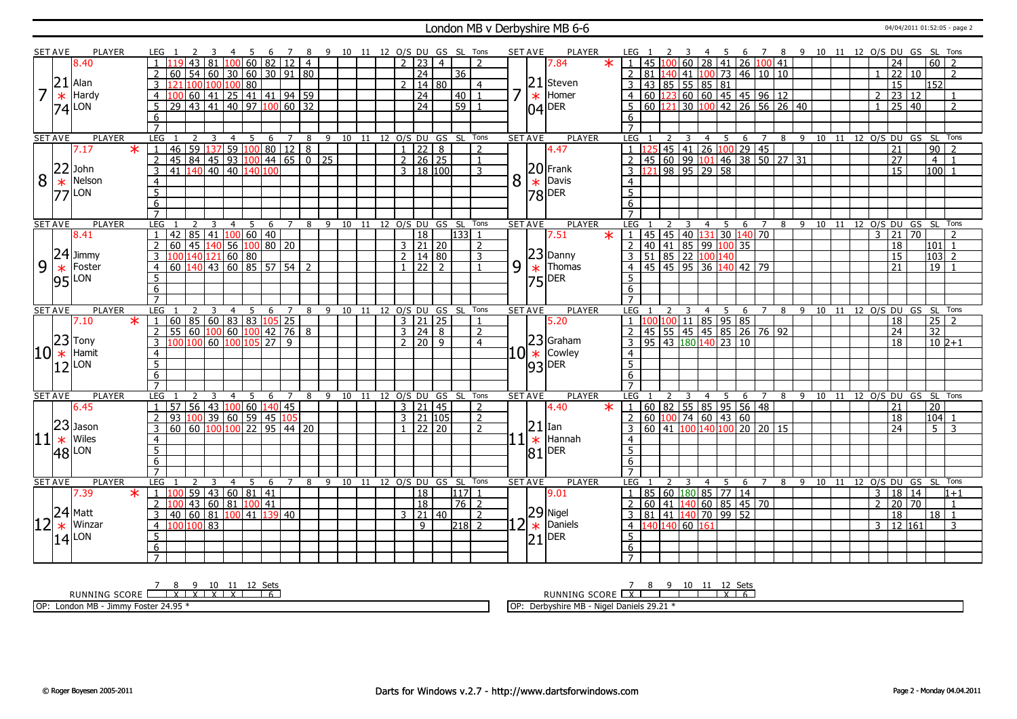#### London MB v Derbyshire MB 6-6 04/04/2011 01:52:05 - page 2

|                | <b>SET AVE</b> | <b>PLAYER</b>                           | LEG             |                            |               |                |                                      |                 |    |   |   |                 |              |                |     |    |    |                |                     |                | 9 10 11 12 O/S DU GS SL Tons |         |                |   | <b>SET AVE</b> | PLAYER                                        |         | LEG                                           |                   |                |   |                         |                |     |                  |                                                |                |                                                |                               |    | 6 7 8 9 10 11 12 0/S DU GS SL Tons |  |                       |                |                 |    |                     |                |  |
|----------------|----------------|-----------------------------------------|-----------------|----------------------------|---------------|----------------|--------------------------------------|-----------------|----|---|---|-----------------|--------------|----------------|-----|----|----|----------------|---------------------|----------------|------------------------------|---------|----------------|---|----------------|-----------------------------------------------|---------|-----------------------------------------------|-------------------|----------------|---|-------------------------|----------------|-----|------------------|------------------------------------------------|----------------|------------------------------------------------|-------------------------------|----|------------------------------------|--|-----------------------|----------------|-----------------|----|---------------------|----------------|--|
|                |                | 8.40                                    |                 |                            | 43            | 81             |                                      | 100 60 82       |    |   |   | $\overline{12}$ |              | $\overline{4}$ |     |    |    | $\mathcal{L}$  | $\overline{23}$     |                | $\overline{4}$               |         | $\overline{z}$ |   |                | 7.84                                          | $\star$ | $1   45   100   60   28   41   26   100   41$ |                   |                |   |                         |                |     |                  |                                                |                |                                                |                               |    |                                    |  |                       |                | $\overline{24}$ |    | 60                  | $\overline{2}$ |  |
|                |                |                                         | 2               | 60                         |               |                | 54   60   30   60   30   91   80     |                 |    |   |   |                 |              |                |     |    |    |                | $\overline{24}$     |                | 36                           |         |                |   |                |                                               |         |                                               |                   |                |   |                         |                |     |                  | 2   81   140   41   100   73   46   10   10    |                |                                                |                               |    |                                    |  |                       | $\mathbf{1}$   | 22              | 10 |                     | $\overline{2}$ |  |
|                | 21             | Alan                                    | 3               |                            |               |                | 100 100 100 80                       |                 |    |   |   |                 |              |                |     |    |    | $\mathcal{D}$  |                     | 14 80          |                              |         | $\overline{4}$ |   | 21             | Steven                                        |         | 3                                             |                   | 43 85 55 85 81 |   |                         |                |     |                  |                                                |                |                                                |                               |    |                                    |  |                       |                | $\overline{15}$ |    | 152                 |                |  |
| $\overline{7}$ |                | Hardy                                   | $\overline{4}$  |                            | $60 \mid 41$  |                |                                      | 25 41 41 94 59  |    |   |   |                 |              |                |     |    |    |                | 24                  |                | 40                           |         | $\overline{1}$ | 7 | $\ast$         | Homer                                         |         | $\overline{4}$                                |                   |                |   |                         |                |     |                  | $\boxed{60}$ $\boxed{123}$ 60 60 45 45 96 12   |                |                                                |                               |    |                                    |  |                       | $\overline{2}$ | 23 12           |    |                     |                |  |
|                | $\ast$         |                                         |                 |                            |               |                |                                      |                 |    |   |   |                 |              |                |     |    |    |                | $\overline{24}$     |                |                              |         |                |   |                |                                               |         |                                               |                   |                |   |                         |                |     |                  |                                                |                |                                                | 30 100 42 26 56 26 40         |    |                                    |  |                       | $\mathbf{1}$   |                 |    |                     |                |  |
|                | 74             | LON                                     | 5               | 29   43   41               |               |                |                                      | 40 97 100 60 32 |    |   |   |                 |              |                |     |    |    |                |                     |                | $\overline{59}$              |         |                |   |                | $04$ DER                                      |         |                                               |                   | 60 121         |   |                         |                |     |                  |                                                |                |                                                |                               |    |                                    |  |                       |                | 25 40           |    |                     | $\overline{2}$ |  |
|                |                |                                         | 6               |                            |               |                |                                      |                 |    |   |   |                 |              |                |     |    |    |                |                     |                |                              |         |                |   |                |                                               |         | 6                                             |                   |                |   |                         |                |     |                  |                                                |                |                                                |                               |    |                                    |  |                       |                |                 |    |                     |                |  |
|                |                |                                         | $\overline{7}$  |                            |               |                |                                      |                 |    |   |   |                 |              |                |     |    |    |                |                     |                |                              |         |                |   |                |                                               |         | $\overline{7}$                                |                   |                |   |                         |                |     |                  |                                                |                |                                                |                               |    |                                    |  |                       |                |                 |    |                     |                |  |
|                | <b>SET AVE</b> | <b>PLAYER</b>                           | LEG             |                            | 2             | 3              |                                      | $\overline{4}$  | 5  | 6 |   | $7\overline{ }$ |              | 8              |     |    |    |                |                     |                | 9 10 11 12 0/S DU GS SL Tons |         |                |   | <b>SET AVE</b> | <b>PLAYER</b>                                 |         | <b>LEG</b>                                    |                   |                |   | $\overline{3}$          |                |     | $4 \overline{5}$ |                                                | 6 7            |                                                |                               |    | 8 9 10 11 12 0/S DU GS SL Tons     |  |                       |                |                 |    |                     |                |  |
|                |                | $\star$<br>7.17                         | $\mathbf{1}$    | 46                         |               |                | 59   137   59   100   80   12        |                 |    |   |   |                 |              | $\overline{8}$ |     |    |    | $\mathbf{1}$   | $\overline{22}$     | 8              |                              |         | 2              |   |                | 4.47                                          |         |                                               |                   |                |   |                         |                |     |                  | 45 41 26 100 29 45                             |                |                                                |                               |    |                                    |  |                       |                | 21              |    | $\overline{90}$   2 |                |  |
|                |                |                                         | $\overline{2}$  | 45 84 45 93 100 44 65 0 25 |               |                |                                      |                 |    |   |   |                 |              |                |     |    |    |                | $2 \mid 26 \mid 25$ |                |                              |         | $\mathbf{1}$   |   |                |                                               |         |                                               |                   |                |   |                         |                |     |                  |                                                |                |                                                | 2 45 60 99 101 46 38 50 27 31 |    |                                    |  |                       |                | $\overline{27}$ |    | $\overline{4}$      |                |  |
|                | 22             | John                                    | $\overline{3}$  | 41 140 40 40 140 100       |               |                |                                      |                 |    |   |   |                 |              |                |     |    |    |                | 3   18   100        |                |                              |         | $\overline{3}$ |   |                |                                               |         | $3 \quad 121$                                 |                   |                |   |                         | $98$ 95 29 58  |     |                  |                                                |                |                                                |                               |    |                                    |  |                       |                | 15              |    | $100$ 1             |                |  |
| 8              | $\ast$         | Nelson                                  | $\overline{4}$  |                            |               |                |                                      |                 |    |   |   |                 |              |                |     |    |    |                |                     |                |                              |         |                |   |                | $20$ Frank<br>$\underset{\text{k}}{20}$ Davis |         | $\overline{4}$                                |                   |                |   |                         |                |     |                  |                                                |                |                                                |                               |    |                                    |  |                       |                |                 |    |                     |                |  |
|                | 77             | LON                                     | $\overline{5}$  |                            |               |                |                                      |                 |    |   |   |                 |              |                |     |    |    |                |                     |                |                              |         |                |   |                |                                               |         | $\overline{5}$                                |                   |                |   |                         |                |     |                  |                                                |                |                                                |                               |    |                                    |  |                       |                |                 |    |                     |                |  |
|                |                |                                         | 6               |                            |               |                |                                      |                 |    |   |   |                 |              |                |     |    |    |                |                     |                |                              |         |                |   |                |                                               |         | 6                                             |                   |                |   |                         |                |     |                  |                                                |                |                                                |                               |    |                                    |  |                       |                |                 |    |                     |                |  |
|                |                |                                         | $\overline{7}$  |                            |               |                |                                      |                 |    |   |   |                 |              |                |     |    |    |                |                     |                |                              |         |                |   |                |                                               |         | $\overline{7}$                                |                   |                |   |                         |                |     |                  |                                                |                |                                                |                               |    |                                    |  |                       |                |                 |    |                     |                |  |
|                | <b>SET AVE</b> | <b>PLAYER</b>                           | <b>LEG</b>      |                            | $\mathcal{L}$ | 3              |                                      | $\overline{4}$  | 5  |   | 6 | $7^{\circ}$     |              | 8              |     |    |    |                |                     |                | 9 10 11 12 0/S DU GS SL      |         | Tons           |   | <b>SET AVE</b> | <b>PLAYER</b>                                 |         | LEG                                           |                   |                |   | 3                       | $\overline{4}$ |     | 5                | 6                                              |                |                                                |                               |    | 7 8 9 10 11 12 0/S DU GS SL        |  |                       |                |                 |    |                     | Tons           |  |
|                |                | 8.41                                    | -1              | 42                         |               |                | 85   41   <mark>100</mark>   60   40 |                 |    |   |   |                 |              |                |     |    |    |                | 18                  |                |                              | 133 1   |                |   |                | 7.51                                          | $\ast$  | $1   45   45   40   131   30   140   70$      |                   |                |   |                         |                |     |                  |                                                |                |                                                |                               |    |                                    |  |                       | $\overline{3}$ | 21              | 70 |                     | $\overline{2}$ |  |
|                |                |                                         | $\overline{2}$  | 60                         | 45 140        |                |                                      | 56 100 80 20    |    |   |   |                 |              |                |     |    |    |                | $3 \ 21 \ 20$       |                |                              |         | 2              |   |                |                                               |         | 2 40 41 85 99 100 35                          |                   |                |   |                         |                |     |                  |                                                |                |                                                |                               |    |                                    |  |                       |                | 18              |    | 101 1               |                |  |
|                | 24             | <b>Jimmy</b>                            | 3               | 100 140 121 60 80          |               |                |                                      |                 |    |   |   |                 |              |                |     |    |    |                | $2 \mid 14 \mid 80$ |                |                              |         | $\overline{3}$ |   |                | $ 23 $ Danny                                  |         | 3 51 85 22 100 140                            |                   |                |   |                         |                |     |                  |                                                |                |                                                |                               |    |                                    |  |                       |                | $\overline{15}$ |    |                     | 103 2          |  |
| 9              | $\ast$         | Foster                                  | $\overline{4}$  | 60 140 43 60 85 57 54      |               |                |                                      |                 |    |   |   |                 |              | 2              |     |    |    |                | $1 \overline{22}$   | $\overline{2}$ |                              |         | $\overline{1}$ | 9 |                | $\frac{1}{75}$ Thom<br>Thomas                 |         |                                               | 4 45 45 95 36 140 |                |   |                         |                |     |                  | 42 79                                          |                |                                                |                               |    |                                    |  |                       |                | 21              |    | 19                  |                |  |
|                |                | $95$ LON                                | $\overline{5}$  |                            |               |                |                                      |                 |    |   |   |                 |              |                |     |    |    |                |                     |                |                              |         |                |   |                |                                               |         | 5 <sup>1</sup>                                |                   |                |   |                         |                |     |                  |                                                |                |                                                |                               |    |                                    |  |                       |                |                 |    |                     |                |  |
|                |                |                                         | 6               |                            |               |                |                                      |                 |    |   |   |                 |              |                |     |    |    |                |                     |                |                              |         |                |   |                |                                               |         | 6                                             |                   |                |   |                         |                |     |                  |                                                |                |                                                |                               |    |                                    |  |                       |                |                 |    |                     |                |  |
|                |                |                                         | $\overline{7}$  |                            |               |                |                                      |                 |    |   |   |                 |              |                |     |    |    |                |                     |                |                              |         |                |   |                |                                               |         | $\overline{7}$                                |                   |                |   |                         |                |     |                  |                                                |                |                                                |                               |    |                                    |  |                       |                |                 |    |                     |                |  |
|                | <b>SET AVE</b> | <b>PLAYER</b>                           | <b>LEG</b>      |                            |               | $\overline{3}$ |                                      | $\overline{4}$  | 5  |   | 6 | $\overline{7}$  |              |                | 8 9 |    |    |                |                     |                | 10 11 12 O/S DU GS SL Tons   |         |                |   | <b>SET AVE</b> | <b>PLAYER</b>                                 |         | LEG                                           |                   |                |   |                         |                | 4 5 |                  | 6                                              | $\overline{7}$ |                                                |                               |    | 8 9 10 11 12 0/S DU GS SL Tons     |  |                       |                |                 |    |                     |                |  |
|                |                | $*$   1<br>7.10                         |                 |                            |               |                | 60   85   60   83   83   105   25    |                 |    |   |   |                 |              |                |     |    |    |                | $3 \mid 21 \mid 25$ |                |                              |         |                |   |                | 5.20                                          |         | $1\quad1$                                     |                   |                |   |                         |                |     |                  |                                                |                |                                                |                               |    |                                    |  |                       |                | 18              |    | $25$   2            |                |  |
|                |                |                                         |                 |                            |               |                |                                      |                 |    |   |   |                 |              |                |     |    |    |                |                     |                |                              |         |                |   |                |                                               |         |                                               |                   |                |   |                         |                |     |                  |                                                |                |                                                |                               |    |                                    |  |                       |                |                 |    |                     |                |  |
|                |                |                                         |                 |                            |               |                |                                      |                 |    |   |   |                 |              |                |     |    |    |                |                     |                |                              |         |                |   |                |                                               |         |                                               |                   |                |   |                         |                |     |                  |                                                |                |                                                |                               |    |                                    |  |                       |                |                 |    |                     |                |  |
|                |                |                                         | $\overline{2}$  | 55 60 100 60 100 42 76     |               |                |                                      |                 |    |   |   |                 |              | l 8            |     |    |    | $\overline{2}$ | 3 24                | 8              |                              |         | $\overline{2}$ |   |                |                                               |         | $\overline{2}$                                |                   |                |   |                         |                |     |                  |                                                |                | 100 100 11 85 95 85<br>45 55 45 45 85 26 76 92 |                               |    |                                    |  |                       |                | 24              |    | $\overline{32}$     |                |  |
|                | 23             | Tony                                    | 3               |                            |               |                | 100 100 60 100 105 27                |                 |    |   |   | $\overline{q}$  |              |                |     |    |    |                | 20 <sup>1</sup>     | $\mathsf{q}$   |                              |         | $\overline{4}$ |   |                | $ 23 $ Graham                                 |         |                                               |                   |                |   |                         |                |     |                  | $95 \mid 43 \mid 180 \mid 140 \mid 23 \mid 10$ |                |                                                |                               |    |                                    |  |                       |                | 18              |    |                     | $10 2+1$       |  |
| 10             | $\ast$         | Hamit                                   | $\overline{4}$  |                            |               |                |                                      |                 |    |   |   |                 |              |                |     |    |    |                |                     |                |                              |         |                |   | $10 \ast $     | Cowley                                        |         | $\overline{4}$                                |                   |                |   |                         |                |     |                  |                                                |                |                                                |                               |    |                                    |  |                       |                |                 |    |                     |                |  |
|                | <b>1つ</b>      | LON                                     | $5\overline{)}$ |                            |               |                |                                      |                 |    |   |   |                 |              |                |     |    |    |                |                     |                |                              |         |                |   |                | $ 93 $ <sup>DER</sup>                         |         | $\overline{5}$                                |                   |                |   |                         |                |     |                  |                                                |                |                                                |                               |    |                                    |  |                       |                |                 |    |                     |                |  |
|                |                |                                         | $6\overline{6}$ |                            |               |                |                                      |                 |    |   |   |                 |              |                |     |    |    |                |                     |                |                              |         |                |   |                |                                               |         | 6                                             |                   |                |   |                         |                |     |                  |                                                |                |                                                |                               |    |                                    |  |                       |                |                 |    |                     |                |  |
|                |                |                                         | $\overline{7}$  |                            |               |                |                                      |                 |    |   |   |                 |              |                |     |    |    |                |                     |                |                              |         |                |   |                |                                               |         | $\overline{7}$                                |                   |                |   |                         |                |     |                  |                                                |                |                                                |                               |    |                                    |  |                       |                |                 |    |                     |                |  |
|                | <b>SET AVE</b> | <b>PLAYER</b>                           | <b>LEG</b>      |                            | $\mathcal{P}$ |                |                                      | $\overline{4}$  | -5 |   | 6 | 7               |              | 8              | 9   | 10 | 11 |                | 12 O/S DU           |                | GS SL Tons                   |         |                |   | <b>SET AVE</b> | <b>PLAYER</b>                                 |         | LEG                                           |                   |                |   | 3                       | 4              |     | 5                | 6                                              | 7              |                                                | 8                             | -9 |                                    |  | 10 11 12 O/S DU GS SL |                |                 |    |                     | Tons           |  |
|                |                | 6.45                                    | $\mathbf{1}$    | 57 56 43 100 60 140 45     |               |                |                                      |                 |    |   |   |                 |              |                |     |    |    |                | 3   21   45         |                |                              |         | $\overline{2}$ |   |                | 4.40                                          | $\ast$  | 1 60 82 55 85 95 56 48                        |                   |                |   |                         |                |     |                  |                                                |                |                                                |                               |    |                                    |  |                       |                | 21              |    | 20                  |                |  |
|                |                |                                         | $\overline{2}$  | 93 100 39 60 59 45 105     |               |                |                                      |                 |    |   |   |                 |              |                |     |    |    |                | $3$   21   105      |                |                              |         | $\overline{2}$ |   |                |                                               |         | 2   60   100   74   60   43   60              |                   |                |   |                         |                |     |                  |                                                |                |                                                |                               |    |                                    |  |                       |                | $\overline{18}$ |    | $ 104 $ 1           |                |  |
|                |                | $23$ Jason                              | $\overline{3}$  | 60 60 100 100 22           |               |                |                                      |                 |    |   |   |                 | 95   44   20 |                |     |    |    |                | 1 22 20             |                |                              |         | $\overline{z}$ |   |                | $ 21 $ Ian                                    |         |                                               |                   |                |   |                         |                |     |                  | 3 60 41 100 140 100 20 20 15                   |                |                                                |                               |    |                                    |  |                       |                | 24              |    | 5                   | 3              |  |
| 11             | $\ast$         | Wiles                                   | $\overline{4}$  |                            |               |                |                                      |                 |    |   |   |                 |              |                |     |    |    |                |                     |                |                              |         |                |   | $ 1 *$         | Hannah                                        |         | $\overline{4}$                                |                   |                |   |                         |                |     |                  |                                                |                |                                                |                               |    |                                    |  |                       |                |                 |    |                     |                |  |
|                |                |                                         | $\overline{5}$  |                            |               |                |                                      |                 |    |   |   |                 |              |                |     |    |    |                |                     |                |                              |         |                |   |                |                                               |         | $\overline{5}$                                |                   |                |   |                         |                |     |                  |                                                |                |                                                |                               |    |                                    |  |                       |                |                 |    |                     |                |  |
|                |                | $ 48 $ LON                              | 6               |                            |               |                |                                      |                 |    |   |   |                 |              |                |     |    |    |                |                     |                |                              |         |                |   |                | $ 81 $ DER                                    |         | 6                                             |                   |                |   |                         |                |     |                  |                                                |                |                                                |                               |    |                                    |  |                       |                |                 |    |                     |                |  |
|                |                |                                         | $\overline{7}$  |                            |               |                |                                      |                 |    |   |   |                 |              |                |     |    |    |                |                     |                |                              |         |                |   |                |                                               |         | $\overline{7}$                                |                   |                |   |                         |                |     |                  |                                                |                |                                                |                               |    |                                    |  |                       |                |                 |    |                     |                |  |
|                | <b>SET AVE</b> | PLAYER                                  | LEG             |                            | 2             | 3              |                                      | $\overline{4}$  | 5  |   | 6 | $\overline{7}$  |              | 8              |     |    |    |                |                     |                | 9 10 11 12 O/S DU GS SL Tons |         |                |   | <b>SET AVE</b> | PLAYER                                        |         | <b>LEG</b>                                    |                   |                | 2 | $\overline{\mathbf{3}}$ | $\overline{4}$ |     | 5                | 6                                              | $\overline{7}$ |                                                |                               |    | 8 9 10 11 12 O/S DU GS SL          |  |                       |                |                 |    |                     | Tons           |  |
|                |                | $\star$<br>7.39                         |                 | $1 \, 100$                 | 59            |                | 43 60 81 41                          |                 |    |   |   |                 |              |                |     |    |    |                | $\overline{18}$     |                |                              | 117 1   |                |   |                | 9.01                                          |         | 1   85   60   180   85   77   14              |                   |                |   |                         |                |     |                  |                                                |                |                                                |                               |    |                                    |  |                       | 3              | 18 14           |    |                     | $1+1$          |  |
|                |                |                                         | 2               |                            |               |                | 43   60   81   100   41              |                 |    |   |   |                 |              |                |     |    |    |                | $\overline{18}$     |                |                              | 76 2    |                |   |                |                                               |         | 2                                             |                   |                |   |                         |                |     |                  |                                                |                |                                                |                               |    |                                    |  |                       | $\overline{2}$ | 20 70           |    |                     | $\overline{1}$ |  |
|                |                | Matt                                    | 3               | 40 60 81 100 41 139 40     |               |                |                                      |                 |    |   |   |                 |              |                |     |    |    |                | 3   21   40         |                |                              |         | $\overline{2}$ |   |                | 29 Nigel                                      |         |                                               |                   |                |   |                         |                |     |                  | 3 81 41 140 70 99 52                           |                |                                                |                               |    |                                    |  |                       |                | 18              |    | 18                  | $\overline{1}$ |  |
|                |                | Winzar                                  | $\overline{4}$  |                            | 00 100 83     |                |                                      |                 |    |   |   |                 |              |                |     |    |    |                | 9                   |                |                              | $218$ 2 |                |   | $\ast$         | Daniels                                       |         |                                               | 4 140 140 60 161  |                |   |                         |                |     |                  |                                                |                |                                                |                               |    |                                    |  |                       | 3              | 12 161          |    |                     | 3              |  |
|                | $12^{24}$      |                                         | 5               |                            |               |                |                                      |                 |    |   |   |                 |              |                |     |    |    |                |                     |                |                              |         |                |   |                | DER                                           |         | 5                                             |                   |                |   |                         |                |     |                  |                                                |                |                                                |                               |    |                                    |  |                       |                |                 |    |                     |                |  |
|                |                | $14$ <sup><math>\text{LON}</math></sup> | 6               |                            |               |                |                                      |                 |    |   |   |                 |              |                |     |    |    |                |                     |                |                              |         |                |   | 21             |                                               |         | $6\overline{6}$<br>$\overline{7}$             |                   |                |   |                         |                |     |                  |                                                |                |                                                |                               |    |                                    |  |                       |                |                 |    |                     |                |  |

7 8 9 10 11 12 Sets<br>RUNNING SCORE <u>| X | X | X | X | X |</u> 6

OP: London MB - Jimmy Foster 24.95 \*

RUNNING SCORE 7 X 8 9 10 11 12 X Sets 6

OP: Derbyshire MB - Nigel Daniels 29.21 \*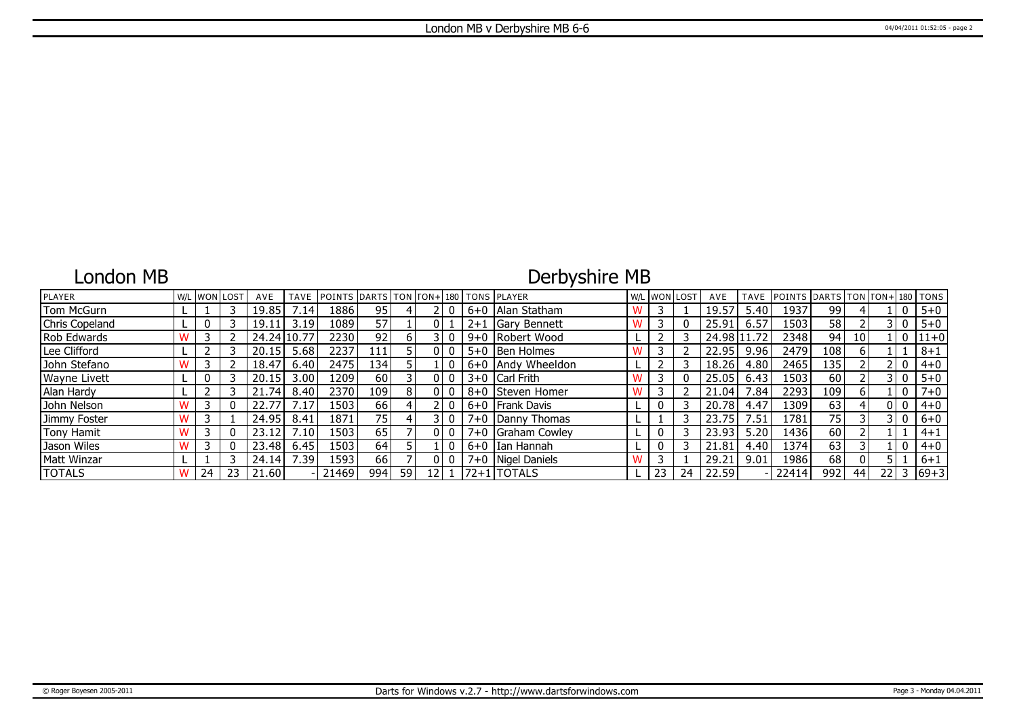### London MB

## Derbyshire MB

| <b>PLAYER</b>       |    | W/L WON LOST | AVE       | TAVE              | POINTS DARTS TON TON+ 180 TONS PLAYER |                 |     |                 |     |         |                      | W/L WON LOST |    | AVE         |      | TAVE POINTS DARTS TON TON+ |      |                 |      |                | 180   TONS |
|---------------------|----|--------------|-----------|-------------------|---------------------------------------|-----------------|-----|-----------------|-----|---------|----------------------|--------------|----|-------------|------|----------------------------|------|-----------------|------|----------------|------------|
| Tom McGurn          |    |              | 19.85     | .14               | 1886                                  | 95              |     |                 |     | $6+0$   | Alan Statham         |              |    | 19.57       | 5.40 | 1937                       | 99   |                 |      |                | $5 + 0$    |
| Chris Copeland      |    |              | 19.11     | 3.19              | 1089                                  | 57              |     | 01              |     | $2+1$   | <b>IGary Bennett</b> |              |    | 25.91       | 6.57 | 1503                       | 58   |                 |      | 3 I O          | $5 + 0$    |
| Rob Edwards         |    |              | 24.24 10. | .77               | 2230                                  | 92              | h I |                 |     |         | 9+0 Robert Wood      |              |    | 24.98 11.72 |      | 2348                       | 94   | 10 <sup>1</sup> |      | 0              | $ 11+0 $   |
| Lee Clifford        |    |              | 20.15     | 5.68              | 2237                                  | 111             |     |                 |     | $5 + 0$ | <b>Ben Holmes</b>    |              |    | 22.95       | 9.96 | 2479                       | 108  |                 |      |                | $8 + 1$    |
| John Stefano        |    |              | 18.47     | 6.40              | 2475                                  | L34             |     |                 |     |         | 6+0 Andy Wheeldon    |              |    | 18.26       | 4.80 | 2465                       | 135  |                 |      | 2 I O          | $4 + 0$    |
| <b>Wayne Livett</b> |    |              | 20.15     | 3.00              | 1209                                  | 60 <sup>1</sup> |     | ΩI              |     |         | $3+0$ Carl Frith     |              |    | 25.05       | 6.43 | 1503                       | 60   |                 |      | - 0            | $5 + 0$    |
| Alan Hardy          |    |              | 21.74     | 8.40              | 2370                                  | 109 l           | 8   |                 | 010 |         | 8+0 Steven Homer     |              |    | 21.04       | .84  | 2293                       | 109' | 6               |      | $\mathbf{0}$   | $7 + 0$    |
| John Nelson         |    |              |           | .17               | 1503                                  | 66 I            |     |                 |     |         | 6+0   Frank Davis    |              |    | 20.78       | 4.47 | لـ1309                     | 63   |                 |      | 0 <sub>0</sub> | $4 + 0$    |
| Jimmy Foster        |    |              | 24.95     | 8.41              | 1871                                  | 75 l            |     |                 |     |         | $7+0$ Danny Thomas   |              |    | 23.75       | 7.51 | 1781                       | 75   |                 |      | 3 I O          | $6 + 0$    |
| Tony Hamit          |    |              | 23.12     | 7.10              | 1503                                  | 65              |     | 01              |     |         | $7+0$ Graham Cowley  |              |    | 23.93       | 5.20 | 1436                       | 60   |                 |      |                | $4 + 1$    |
| Jason Wiles         |    |              | 23.48     | 6.45              | 1503                                  | 64              |     |                 |     |         | 6+0 IIan Hannah      |              |    | 21.81       | 4.40 | 1374                       | 63   |                 |      | 0              | $4 + 0$    |
| <b>Matt Winzar</b>  |    |              | 24.14     | 7.39 <sub>1</sub> | 1593                                  | 66              |     | ΩI              |     |         | 7+0   Nigel Daniels  |              |    | 29.21       | 9.01 | 1986                       | 68   |                 |      |                | $6 + 1$    |
| <b>TOTALS</b>       | 24 | 23           | 21.60     |                   | 21469                                 | 994             | 59  | 12 <sub>1</sub> |     |         | $ 72+1 $ TOTALS      | 23           | 24 | 22.59       |      | 22414                      | 992  | 44              | 22 L | 3              | $ 69+3 $   |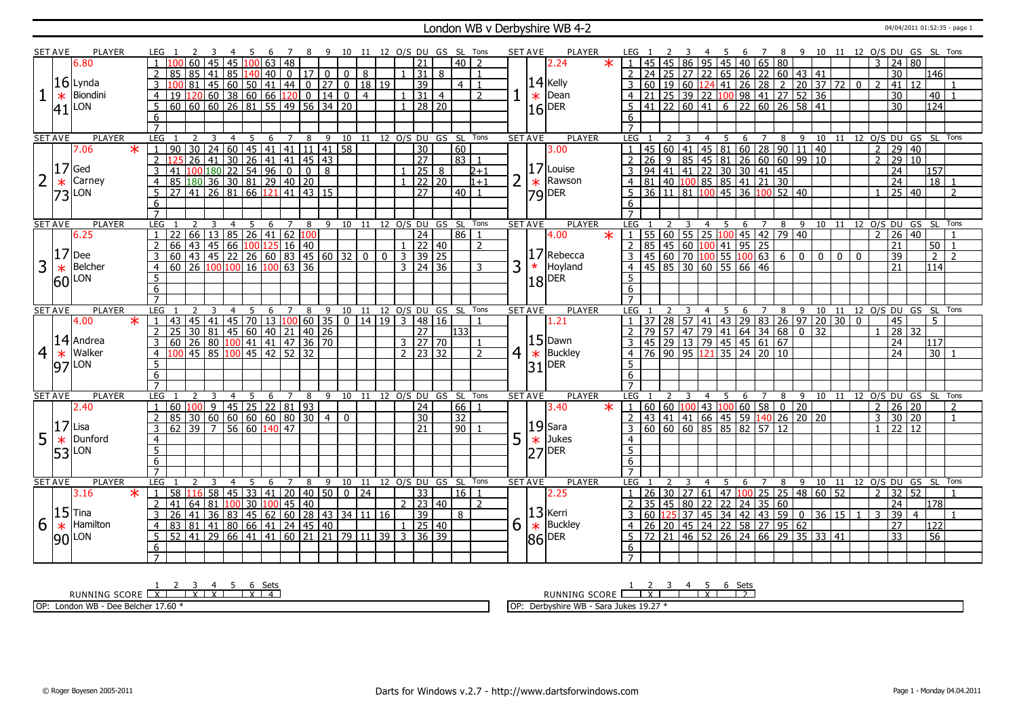#### London WB v Derbyshire WB 4-2 <sup>04/04/2011 01:52:35 - page 1</sup>

|                 | <b>SET AVE</b> | PLAYER              |                         | LEG 1               |                                                                                                                       |              |                         |                        |   | -5             | - 6 | $\overline{7}$ |               |                |                |                |           |              |                           |                | 8 9 10 11 12 O/S DU GS SL Tons     |                         | SET AVE        |          | PLAYER                                                                                               |                         | LEG 1                                                                        |                  |    |                         |                |       |                                                                                             |                |   |      |                                                                                                                                                                                                                                                                                                        |                |              |                |                 |                         |                                | 4 5 6 7 8 9 10 11 12 O/S DU GS SL Tons |
|-----------------|----------------|---------------------|-------------------------|---------------------|-----------------------------------------------------------------------------------------------------------------------|--------------|-------------------------|------------------------|---|----------------|-----|----------------|---------------|----------------|----------------|----------------|-----------|--------------|---------------------------|----------------|------------------------------------|-------------------------|----------------|----------|------------------------------------------------------------------------------------------------------|-------------------------|------------------------------------------------------------------------------|------------------|----|-------------------------|----------------|-------|---------------------------------------------------------------------------------------------|----------------|---|------|--------------------------------------------------------------------------------------------------------------------------------------------------------------------------------------------------------------------------------------------------------------------------------------------------------|----------------|--------------|----------------|-----------------|-------------------------|--------------------------------|----------------------------------------|
|                 |                | 6.80                |                         |                     |                                                                                                                       |              | 60   45                 |                        |   |                |     | 45 100 63 48   |               |                |                |                |           |              | $\overline{21}$           |                | $40$   2                           |                         |                |          | 2.24                                                                                                 | $\star$                 | $\sqrt{1}$                                                                   |                  |    |                         |                |       | 45   45   86   95   45   40   65   80                                                       |                |   |      |                                                                                                                                                                                                                                                                                                        |                |              | 3              |                 | 24 80                   |                                |                                        |
|                 |                |                     |                         |                     | $85 \ 85 \ 41$                                                                                                        |              |                         | 85                     |   |                |     |                | $140$ 40 0 17 | $\overline{0}$ | $\overline{0}$ | 8              |           |              | $\overline{31}$           | 8              |                                    | $\overline{1}$          |                |          |                                                                                                      |                         |                                                                              | $2 \mid 24 \mid$ |    |                         |                |       |                                                                                             |                |   |      | 25 27 22 65 26 22 60 43 41                                                                                                                                                                                                                                                                             |                |              |                | 30              |                         | $\overline{146}$               |                                        |
|                 |                | $16$ Lynda          |                         |                     |                                                                                                                       | 81           |                         | 45   60   50   41   44 |   |                |     |                | $\boxed{0}$   | 27             |                |                | $0$ 18 19 |              | $\overline{39}$           |                | 4                                  |                         |                |          |                                                                                                      |                         |                                                                              |                  |    |                         |                |       |                                                                                             |                |   |      |                                                                                                                                                                                                                                                                                                        |                | $\mathbf{0}$ |                | 41              | 12                      |                                |                                        |
|                 |                | Biondini            |                         |                     |                                                                                                                       |              |                         |                        |   |                |     |                |               |                |                |                |           |              |                           |                |                                    |                         |                |          | $\left  \frac{14}{14} \right $ Dean                                                                  |                         |                                                                              |                  |    |                         |                |       |                                                                                             |                |   |      | $60$   19   60   124   41   26   28   2   20   37   72                                                                                                                                                                                                                                                 |                |              |                |                 |                         |                                |                                        |
|                 | $\ast$         |                     |                         |                     | 19 120 60 38 60 66 120 0 14 0<br>60 60 60 26 81 55 49 56 34 20                                                        |              |                         |                        |   |                |     |                |               |                | $\overline{0}$ | $\overline{4}$ |           |              | 31                        | $\overline{4}$ |                                    | 2                       |                |          | $\frac{1}{16}$ Dear                                                                                  |                         |                                                                              |                  |    |                         |                |       |                                                                                             |                |   |      | 21 25 39 22 100 98 41 27 52 36                                                                                                                                                                                                                                                                         |                |              |                | $\overline{30}$ |                         | 40                             |                                        |
|                 |                | $ 41 $ LON          |                         | $5^{\circ}$         |                                                                                                                       |              |                         |                        |   |                |     |                |               |                |                |                |           |              |                           | $28 \mid 20$   |                                    |                         |                |          |                                                                                                      |                         | 5 <sup>5</sup>                                                               |                  |    |                         |                |       |                                                                                             |                |   |      | $\frac{1}{41}$ 22 60 41 6 22 60 26 58 41                                                                                                                                                                                                                                                               |                |              |                | $\overline{30}$ |                         | 124                            |                                        |
|                 |                |                     |                         | 6                   |                                                                                                                       |              |                         |                        |   |                |     |                |               |                |                |                |           |              |                           |                |                                    |                         |                |          |                                                                                                      |                         | 6                                                                            |                  |    |                         |                |       |                                                                                             |                |   |      |                                                                                                                                                                                                                                                                                                        |                |              |                |                 |                         |                                |                                        |
|                 |                |                     |                         | $\overline{7}$      |                                                                                                                       |              |                         |                        |   |                |     |                |               |                |                |                |           |              |                           |                |                                    |                         |                |          |                                                                                                      |                         |                                                                              |                  |    |                         |                |       |                                                                                             |                |   |      |                                                                                                                                                                                                                                                                                                        |                |              |                |                 |                         |                                |                                        |
|                 | <b>SET AVE</b> | <b>PLAYER</b>       |                         | LEG                 |                                                                                                                       |              | 3                       | $\overline{4}$         |   | 5              | 6   | $7^{\circ}$    | 8             | 9              |                |                |           |              |                           |                | 10 11 12 O/S DU GS SL Tons         |                         | <b>SET AVE</b> |          | <b>PLAYER</b>                                                                                        |                         | LEG                                                                          |                  |    |                         | $\overline{4}$ | 5     |                                                                                             | 6 7            |   |      |                                                                                                                                                                                                                                                                                                        |                |              |                |                 |                         |                                | 8 9 10 11 12 0/S DU GS SL Tons         |
|                 |                | 7.06                | $\overline{\ast}$       | $\mathbf{1}$        |                                                                                                                       |              |                         |                        |   |                |     |                |               |                |                |                |           |              | $\overline{30}$           |                | 60                                 |                         |                |          | 3.00                                                                                                 |                         |                                                                              |                  |    |                         |                |       |                                                                                             |                |   |      |                                                                                                                                                                                                                                                                                                        |                |              | $\overline{2}$ | $\overline{29}$ | 40                      |                                |                                        |
|                 |                |                     |                         | $\overline{2}$      |                                                                                                                       |              |                         |                        |   |                |     |                |               |                |                |                |           |              | $\overline{27}$           |                | 83 1                               |                         |                |          |                                                                                                      |                         | 2                                                                            |                  |    |                         |                |       |                                                                                             |                |   |      |                                                                                                                                                                                                                                                                                                        |                |              | $\mathcal{P}$  |                 | $\frac{1}{29}$ 10       |                                |                                        |
|                 | 17             | Ged                 |                         | 3                   |                                                                                                                       |              |                         |                        |   |                |     |                |               |                |                |                |           |              | $1 \vert 25 \vert$        | 8              |                                    | $2 + 1$                 |                |          | $ 17 $ Louise                                                                                        |                         | $\overline{3}$                                                               |                  |    |                         |                |       |                                                                                             |                |   |      | 45 60 41 45 81 60 28 90 11 40<br>26 9 85 45 81 26 60 60 99 10<br>94 41 41 22 30 30 41 45<br>81 40 100 85 85 41 21 30                                                                                                                                                                                   |                |              |                | $\overline{24}$ |                         | 157                            |                                        |
| $\overline{2}$  |                | Carney              |                         | $\overline{4}$      |                                                                                                                       |              |                         |                        |   |                |     |                |               |                |                |                |           | $\mathbf{1}$ |                           | 22 20          |                                    | $1+1$                   | $\overline{2}$ |          | Rawson<br>$\begin{array}{ c c }\n\hline\n\ast & \text{Raw:} \\ \hline\n79 & \text{DER}\n\end{array}$ |                         | $\overline{4}$                                                               |                  |    |                         |                |       |                                                                                             |                |   |      |                                                                                                                                                                                                                                                                                                        |                |              |                | $\overline{24}$ |                         | 18                             |                                        |
|                 | 73             | LON                 |                         | 5 <sup>5</sup>      |                                                                                                                       |              |                         |                        |   |                |     |                |               |                |                |                |           |              | $\overline{27}$           |                | $40$   1                           |                         |                |          |                                                                                                      |                         |                                                                              |                  |    |                         |                |       | $5 \overline{)36 \overline{)11 \overline{)81 \overline{)100 \overline{0}}}$ 45 36 100 52 40 |                |   |      |                                                                                                                                                                                                                                                                                                        |                |              |                |                 | 25 40                   |                                | $\overline{2}$                         |
|                 |                |                     |                         | 6                   |                                                                                                                       |              |                         |                        |   |                |     |                |               |                |                |                |           |              |                           |                |                                    |                         |                |          |                                                                                                      |                         | 6                                                                            |                  |    |                         |                |       |                                                                                             |                |   |      |                                                                                                                                                                                                                                                                                                        |                |              |                |                 |                         |                                |                                        |
|                 |                |                     |                         | $\overline{7}$      |                                                                                                                       |              |                         |                        |   |                |     |                |               |                |                |                |           |              |                           |                |                                    |                         |                |          |                                                                                                      |                         | $\overline{7}$                                                               |                  |    |                         |                |       |                                                                                             |                |   |      |                                                                                                                                                                                                                                                                                                        |                |              |                |                 |                         |                                |                                        |
|                 | <b>SET AVE</b> | <b>PLAYER</b>       |                         | LEG <sub>1</sub>    |                                                                                                                       | <sup>2</sup> | $\overline{\mathbf{3}}$ | $\overline{4}$         | 5 |                |     |                |               |                |                |                |           |              |                           |                | 6 7 8 9 10 11 12 0/S DU GS SL Tons |                         | <b>SET AVE</b> |          | <b>PLAYER</b>                                                                                        |                         | LEG 1                                                                        |                  |    | $\overline{\mathbf{3}}$ |                |       |                                                                                             |                |   |      |                                                                                                                                                                                                                                                                                                        |                |              |                |                 |                         |                                | 4 5 6 7 8 9 10 11 12 O/S DU GS SL Tons |
|                 |                | 6.25                |                         | $\overline{1}$      | 22 66 13 85 26 41 62 100<br>66 43 45 66 100 125 16 40<br>60 43 45 22 26 60 83 45 60 32 0 0 3 39 25                    |              |                         |                        |   |                |     |                |               |                |                |                |           |              |                           |                | 86 1                               |                         |                |          | 4.00                                                                                                 | $\overline{\textbf{x}}$ | $1 \mid 55 \mid 60 \mid 55 \mid 25 \mid 100 \mid 45 \mid 42 \mid 79 \mid 40$ |                  |    |                         |                |       |                                                                                             |                |   |      |                                                                                                                                                                                                                                                                                                        |                |              |                |                 | $2 \mid 26 \mid 40$     |                                | $\overline{1}$                         |
|                 |                |                     |                         |                     |                                                                                                                       |              |                         |                        |   |                |     |                |               |                |                |                |           |              |                           |                |                                    | 2                       |                |          |                                                                                                      |                         |                                                                              |                  |    |                         |                |       |                                                                                             |                |   |      | 2 85 45 60 100 41 95 25<br>3 45 60 70 100 55 100 63 6 0 0                                                                                                                                                                                                                                              |                |              |                | 21              |                         | 50 <sub>1</sub>                | $\overline{1}$                         |
|                 | 17             | Dee                 |                         |                     |                                                                                                                       |              |                         |                        |   |                |     |                |               |                |                |                |           |              |                           |                |                                    |                         |                |          | 17 Rebecca                                                                                           |                         |                                                                              |                  |    |                         |                |       |                                                                                             |                |   |      |                                                                                                                                                                                                                                                                                                        | $\overline{0}$ | $\mathbf{0}$ |                | 39              |                         | $\overline{2}$                 | $\overline{2}$                         |
| $\overline{3}$  |                | Belcher             |                         | $\overline{4}$      | $60$   26 $\boxed{100}$ $100$   16 $\boxed{100}$ 63   36                                                              |              |                         |                        |   |                |     |                |               |                |                |                |           |              | $3 \mid 24 \mid 36$       |                |                                    | 3                       | 3              | $\star$  | Hoyland                                                                                              |                         | $\overline{4}$                                                               |                  |    |                         |                |       | $145 \ 85 \ 30 \ 60 \ 55 \ 66 \ 46$                                                         |                |   |      |                                                                                                                                                                                                                                                                                                        |                |              |                | 21              |                         | 114                            |                                        |
|                 |                |                     |                         | 5                   |                                                                                                                       |              |                         |                        |   |                |     |                |               |                |                |                |           |              |                           |                |                                    |                         |                |          |                                                                                                      |                         | 5                                                                            |                  |    |                         |                |       |                                                                                             |                |   |      |                                                                                                                                                                                                                                                                                                        |                |              |                |                 |                         |                                |                                        |
|                 |                | $60$ <sup>LON</sup> |                         | 6                   |                                                                                                                       |              |                         |                        |   |                |     |                |               |                |                |                |           |              |                           |                |                                    |                         |                |          | $18$ DER                                                                                             |                         | 6                                                                            |                  |    |                         |                |       |                                                                                             |                |   |      |                                                                                                                                                                                                                                                                                                        |                |              |                |                 |                         |                                |                                        |
|                 |                |                     |                         |                     |                                                                                                                       |              |                         |                        |   |                |     |                |               |                |                |                |           |              |                           |                |                                    |                         |                |          |                                                                                                      |                         | $\overline{7}$                                                               |                  |    |                         |                |       |                                                                                             |                |   |      |                                                                                                                                                                                                                                                                                                        |                |              |                |                 |                         |                                |                                        |
|                 |                |                     |                         |                     |                                                                                                                       |              |                         |                        |   | 5              | 6   | 7              | 8             | 9              | 10             |                |           |              |                           |                |                                    | 11 12 O/S DU GS SL Tons | <b>SET AVE</b> |          | <b>PLAYER</b>                                                                                        |                         | LEG                                                                          |                  |    |                         | 4              | 5     | 6                                                                                           | 7              |   |      |                                                                                                                                                                                                                                                                                                        |                |              |                |                 |                         | 8 9 10 11 12 O/S DU GS SL Tons |                                        |
|                 |                | <b>PLAYER</b>       |                         | LEG                 |                                                                                                                       |              |                         |                        |   |                |     |                |               |                |                |                |           |              |                           |                |                                    |                         |                |          |                                                                                                      |                         |                                                                              |                  |    |                         |                |       |                                                                                             |                |   |      |                                                                                                                                                                                                                                                                                                        |                |              |                |                 |                         |                                |                                        |
|                 | <b>SET AVE</b> |                     | $\overline{\mathbf{x}}$ |                     |                                                                                                                       |              |                         | $\overline{4}$         |   |                |     |                |               |                |                |                |           |              |                           |                |                                    |                         |                |          |                                                                                                      |                         |                                                                              |                  |    |                         |                |       |                                                                                             |                |   |      |                                                                                                                                                                                                                                                                                                        |                |              |                |                 |                         | 5                              |                                        |
|                 |                | 4.00                |                         |                     |                                                                                                                       |              |                         |                        |   |                |     |                |               |                |                |                |           |              | 0   14   19   3   48   16 |                | 133                                |                         |                |          | 1.21                                                                                                 |                         |                                                                              |                  |    |                         |                |       |                                                                                             |                |   |      |                                                                                                                                                                                                                                                                                                        |                |              |                | 45              |                         |                                |                                        |
|                 |                |                     |                         | $\overline{2}$      |                                                                                                                       |              |                         |                        |   |                |     |                |               |                |                |                |           |              | $\overline{27}$           |                |                                    |                         |                |          |                                                                                                      |                         |                                                                              |                  |    |                         |                |       |                                                                                             |                |   |      |                                                                                                                                                                                                                                                                                                        |                |              |                |                 | 28 32                   |                                |                                        |
|                 |                | $14$ Andrea         |                         | $\overline{3}$      |                                                                                                                       |              |                         |                        |   |                |     |                |               |                |                |                |           |              | $3 \ 27 \ 70$             |                |                                    | $\overline{1}$          |                |          | $ 15 $ Dawn                                                                                          |                         |                                                                              |                  |    |                         |                |       |                                                                                             |                |   |      |                                                                                                                                                                                                                                                                                                        |                |              |                | 24              |                         | 117                            |                                        |
| $\vert 4 \vert$ | $\ast$         | Walker              |                         | $\overline{4}$      | 43 45 41 45 70 13 100 60 35<br>25 30 81 45 60 40 21 40 26<br>60 26 80 100 41 41 47 36 70<br>100 45 85 100 45 42 52 32 |              |                         |                        |   |                |     |                |               |                |                |                |           |              | $2 \times 32$             |                |                                    | $\overline{2}$          | 4 <sup>1</sup> | $ \ast $ | Buckley                                                                                              |                         |                                                                              |                  |    |                         |                |       |                                                                                             |                |   |      | $\begin{array}{ c c c c c c c c c }\hline 1 & 37 & 28 & 57 & 41 & 43 & 29 & 83 & 26 & 97 & 20 & 30 & 0 \\ \hline 2 & 79 & 57 & 47 & 79 & 41 & 64 & 34 & 68 & 0 & 32 \\ \hline 3 & 45 & 29 & 13 & 79 & 45 & 45 & 61 & 67 & \\ \hline 4 & 76 & 90 & 95 & 121 & 35 & 24 & 20 & 10 & \\\hline \end{array}$ |                |              |                | $\overline{24}$ |                         | 30                             |                                        |
|                 |                | $97$ <sup>LON</sup> |                         | 5                   |                                                                                                                       |              |                         |                        |   |                |     |                |               |                |                |                |           |              |                           |                |                                    |                         |                | 31       | DER <sub></sub>                                                                                      |                         | 5                                                                            |                  |    |                         |                |       |                                                                                             |                |   |      |                                                                                                                                                                                                                                                                                                        |                |              |                |                 |                         |                                |                                        |
|                 |                |                     |                         | 6                   |                                                                                                                       |              |                         |                        |   |                |     |                |               |                |                |                |           |              |                           |                |                                    |                         |                |          |                                                                                                      |                         | 6                                                                            |                  |    |                         |                |       |                                                                                             |                |   |      |                                                                                                                                                                                                                                                                                                        |                |              |                |                 |                         |                                |                                        |
|                 |                |                     |                         | $\overline{7}$      |                                                                                                                       |              |                         |                        |   |                |     |                |               |                |                |                |           |              |                           |                |                                    |                         |                |          |                                                                                                      |                         | $\overline{7}$                                                               |                  |    |                         |                |       |                                                                                             |                |   |      |                                                                                                                                                                                                                                                                                                        |                |              |                |                 |                         |                                |                                        |
|                 | <b>SET AVE</b> | PLAYER              |                         | <b>LEG</b>          |                                                                                                                       | 2            | 3                       | $\overline{4}$         |   | $\overline{5}$ | 6   | $\overline{7}$ | 8             | 9              |                |                |           |              |                           |                | 10 11 12 O/S DU GS SL Tons         |                         | <b>SET AVE</b> |          | PLAYER                                                                                               |                         | <b>LEG</b>                                                                   |                  |    |                         | $\overline{4}$ | - 5   | 6                                                                                           | $\overline{7}$ | 8 | $-9$ |                                                                                                                                                                                                                                                                                                        |                |              |                |                 |                         |                                | 10 11 12 0/S DU GS SL Tons             |
|                 |                | 2.40                |                         | $\mathbf{1}$        |                                                                                                                       |              |                         |                        |   |                |     |                |               |                |                |                |           |              | 24                        |                | $66$   1                           |                         |                |          | 3.40                                                                                                 | $\star$                 | $1   60   60   100   43   100   60   58   0   20$                            |                  |    |                         |                |       |                                                                                             |                |   |      |                                                                                                                                                                                                                                                                                                        |                |              |                |                 | 2   26   20             |                                | 2                                      |
|                 |                |                     |                         | $\overline{2}$      | 85 30 60 60 60 60 80 30                                                                                               |              |                         |                        |   |                |     |                |               | $\overline{4}$ | $\overline{0}$ |                |           |              | 30                        |                | 32                                 |                         |                |          |                                                                                                      |                         |                                                                              |                  |    |                         |                |       |                                                                                             |                |   |      | 2 43 41 41 66 45 59 140 26 20 20                                                                                                                                                                                                                                                                       |                |              |                |                 | $3 \times 30 \times 20$ |                                | $\overline{1}$                         |
|                 | 17             | Lisa                |                         | $\overline{3}$      | $62$ 39 7                                                                                                             |              |                         | 56 60                  |   |                | 140 | 47             |               |                |                |                |           |              | 21                        |                | 90 1                               |                         |                |          | $ 19 $ Sara                                                                                          |                         |                                                                              |                  |    |                         |                |       | 60 60 60 85 85 82 57 12                                                                     |                |   |      |                                                                                                                                                                                                                                                                                                        |                |              |                |                 | $1 \ 22 \ 12$           |                                |                                        |
| 5               | $\ast$         | Dunford             |                         | $\overline{4}$      |                                                                                                                       |              |                         |                        |   |                |     |                |               |                |                |                |           |              |                           |                |                                    |                         | 5              | $\ast$   | Jukes                                                                                                |                         | $\overline{4}$                                                               |                  |    |                         |                |       |                                                                                             |                |   |      |                                                                                                                                                                                                                                                                                                        |                |              |                |                 |                         |                                |                                        |
|                 | 53             | LON                 |                         | 5                   |                                                                                                                       |              |                         |                        |   |                |     |                |               |                |                |                |           |              |                           |                |                                    |                         |                |          | $ 27 $ <sup>DER</sup>                                                                                |                         | 5                                                                            |                  |    |                         |                |       |                                                                                             |                |   |      |                                                                                                                                                                                                                                                                                                        |                |              |                |                 |                         |                                |                                        |
|                 |                |                     |                         | 6                   |                                                                                                                       |              |                         |                        |   |                |     |                |               |                |                |                |           |              |                           |                |                                    |                         |                |          |                                                                                                      |                         | 6                                                                            |                  |    |                         |                |       |                                                                                             |                |   |      |                                                                                                                                                                                                                                                                                                        |                |              |                |                 |                         |                                |                                        |
|                 |                |                     |                         |                     |                                                                                                                       |              |                         |                        |   |                |     |                |               |                |                |                |           |              |                           |                |                                    |                         |                |          |                                                                                                      |                         |                                                                              |                  |    |                         |                |       |                                                                                             |                |   |      |                                                                                                                                                                                                                                                                                                        |                |              |                |                 |                         |                                |                                        |
|                 | <b>SET AVE</b> | <b>PLAYER</b>       |                         | LEG                 |                                                                                                                       |              |                         | $\overline{4}$         |   | 5              | 6   | $\overline{7}$ | 8             | 9              | 10             | 11             |           |              |                           |                | 12 O/S DU GS SL Tons               |                         | <b>SET AVE</b> |          | <b>PLAYER</b>                                                                                        |                         | LEG                                                                          |                  |    |                         |                |       | 6                                                                                           | $\overline{7}$ | 8 | 9    |                                                                                                                                                                                                                                                                                                        |                |              |                |                 |                         |                                | 10 11 12 O/S DU GS SL Tons             |
|                 |                | 3.16                | $\ast$                  | $\mathbf{1}$        | 58 16 58 45 33 41 20 40 50                                                                                            |              |                         |                        |   |                |     |                |               |                |                | $\boxed{0}$ 24 |           |              | 33                        |                | 16                                 |                         |                |          | 2.25                                                                                                 |                         |                                                                              | 26               | 30 | 27                      |                | 61 47 | 100                                                                                         |                |   |      | 25 25 48 60 52                                                                                                                                                                                                                                                                                         |                |              | $\overline{2}$ |                 | 32 52                   |                                |                                        |
|                 |                |                     |                         | 2                   |                                                                                                                       |              |                         |                        |   |                |     |                |               |                |                |                |           |              | $2 \mid 23 \mid 40$       |                |                                    | 2                       |                |          |                                                                                                      |                         |                                                                              |                  |    |                         |                |       |                                                                                             |                |   |      |                                                                                                                                                                                                                                                                                                        |                |              |                | $\overline{24}$ |                         | $\overline{178}$               |                                        |
|                 |                | $15$ Tina           |                         | $\overline{3}$      |                                                                                                                       |              |                         |                        |   |                |     |                |               |                |                |                |           |              | $\overline{39}$           |                | 8                                  |                         |                |          | $ 13 $ Kerri                                                                                         |                         |                                                                              |                  |    |                         |                |       |                                                                                             |                |   |      |                                                                                                                                                                                                                                                                                                        |                | $\mathbf{1}$ | 3              | $\overline{39}$ | $\overline{4}$          |                                |                                        |
| 6               | $\ast$         | Hamilton            |                         | $\overline{4}$      |                                                                                                                       |              |                         |                        |   |                |     |                |               |                |                |                |           |              | $1 \mid 25 \mid 40$       |                |                                    |                         | 6              |          |                                                                                                      |                         |                                                                              |                  |    |                         |                |       |                                                                                             |                |   |      |                                                                                                                                                                                                                                                                                                        |                |              |                | 27              |                         | $\overline{122}$               |                                        |
|                 |                |                     |                         | 5 <sup>5</sup>      | 52 41 29 66 41 41 60 21 21 79 11 39 3 36 39                                                                           |              |                         |                        |   |                |     |                |               |                |                |                |           |              |                           |                |                                    |                         |                |          |                                                                                                      |                         |                                                                              |                  |    |                         |                |       |                                                                                             |                |   |      |                                                                                                                                                                                                                                                                                                        |                |              |                | $\overline{33}$ |                         | $\overline{56}$                |                                        |
|                 |                | $90$ LON            |                         | 6<br>$\overline{7}$ |                                                                                                                       |              |                         |                        |   |                |     |                |               |                |                |                |           |              |                           |                |                                    |                         |                |          | $\overline{\begin{array}{c} \times \\ 86 \end{array}}$ Buckley                                       |                         | 6<br>$\overline{7}$                                                          |                  |    |                         |                |       |                                                                                             |                |   |      | 2 35 45 80 22 22 24 35 60<br>3 60 125 37 45 34 42 43 59 0 36 15<br>4 26 20 45 24 22 58 27 95 62<br>5 72 21 46 52 26 24 66 29 35 33 41                                                                                                                                                                  |                |              |                |                 |                         |                                |                                        |

RUNNING SCORE <u>| X | X | X | X | 4</u><br>RUNNING SCORE <u>| X | X | X | X | 4</u> OP: London WB - Dee Belcher 17.60 \* RUNNING SCORE 1 2 X 3 4 5 X 6 Sets 2 OP: Derbyshire WB - Sara Jukes 19.27 \*